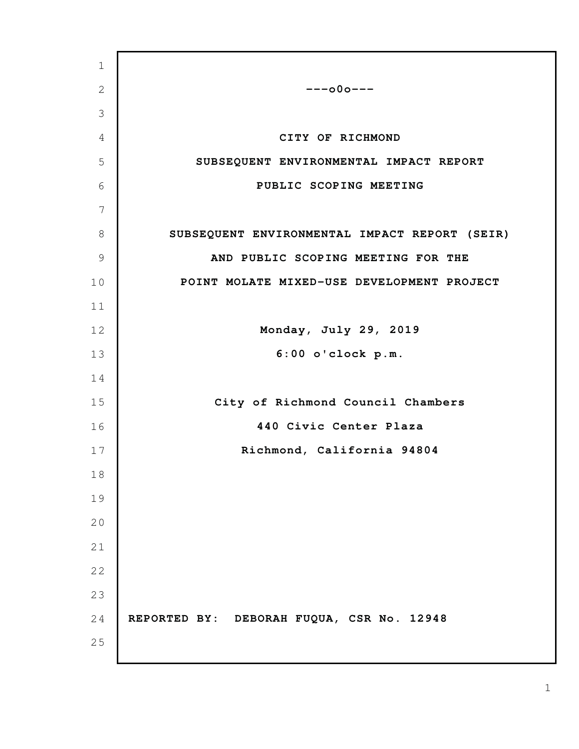| $\mathbf 1$    |                                               |
|----------------|-----------------------------------------------|
| $\overline{2}$ | $---000---$                                   |
| 3              |                                               |
| 4              | CITY OF RICHMOND                              |
| 5              | SUBSEQUENT ENVIRONMENTAL IMPACT REPORT        |
| 6              | PUBLIC SCOPING MEETING                        |
| 7              |                                               |
| 8              | SUBSEQUENT ENVIRONMENTAL IMPACT REPORT (SEIR) |
| 9              | AND PUBLIC SCOPING MEETING FOR THE            |
| 10             | POINT MOLATE MIXED-USE DEVELOPMENT PROJECT    |
| 11             |                                               |
| 12             | Monday, July 29, 2019                         |
| 13             | $6:00$ o'clock $p.m.$                         |
| 14             |                                               |
| 15             | City of Richmond Council Chambers             |
| 16             | 440 Civic Center Plaza                        |
| 17             | Richmond, California 94804                    |
| 18             |                                               |
| 19             |                                               |
| 20             |                                               |
| 21             |                                               |
| 22             |                                               |
| 23             |                                               |
| 24             | REPORTED BY: DEBORAH FUQUA, CSR No. 12948     |
| 25             |                                               |
|                |                                               |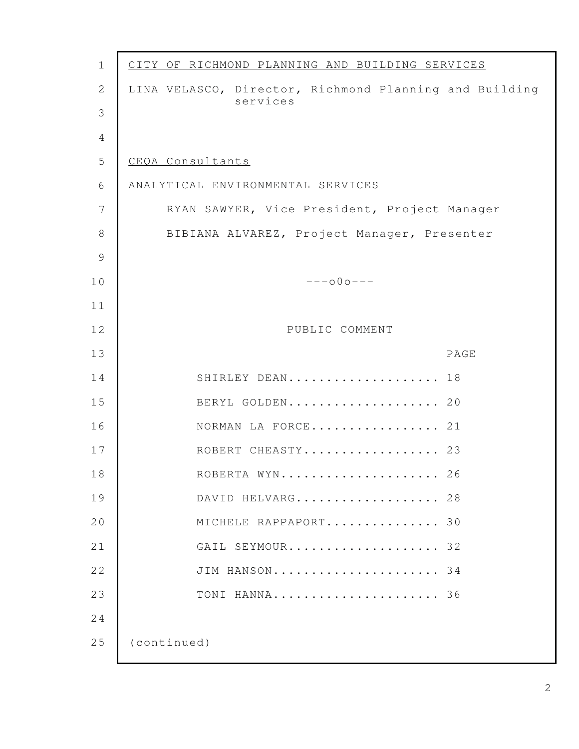| $\mathbf 1$    | CITY OF RICHMOND PLANNING AND BUILDING SERVICES                    |
|----------------|--------------------------------------------------------------------|
| 2              | LINA VELASCO, Director, Richmond Planning and Building<br>services |
| 3              |                                                                    |
| $\overline{4}$ |                                                                    |
| 5              | CEQA Consultants                                                   |
| 6              | ANALYTICAL ENVIRONMENTAL SERVICES                                  |
| 7              | RYAN SAWYER, Vice President, Project Manager                       |
| 8              | BIBIANA ALVAREZ, Project Manager, Presenter                        |
| 9              |                                                                    |
| 10             | $---000---$                                                        |
| 11             |                                                                    |
| 12             | PUBLIC COMMENT                                                     |
| 13             | PAGE                                                               |
| 14             | SHIRLEY DEAN 18                                                    |
| 15             | BERYL GOLDEN 20                                                    |
| 16             | NORMAN LA FORCE 21                                                 |
| 17             | ROBERT CHEASTY 23                                                  |
| 18             | 26<br>ROBERTA WYN                                                  |
| 19             | DAVID HELVARG 28                                                   |
| 20             | MICHELE RAPPAPORT 30                                               |
| 21             | GAIL SEYMOUR 32                                                    |
| 22             | JIM HANSON 34                                                      |
| 23             | TONI HANNA 36                                                      |
| 24             |                                                                    |
| 25             | (continued)                                                        |
|                |                                                                    |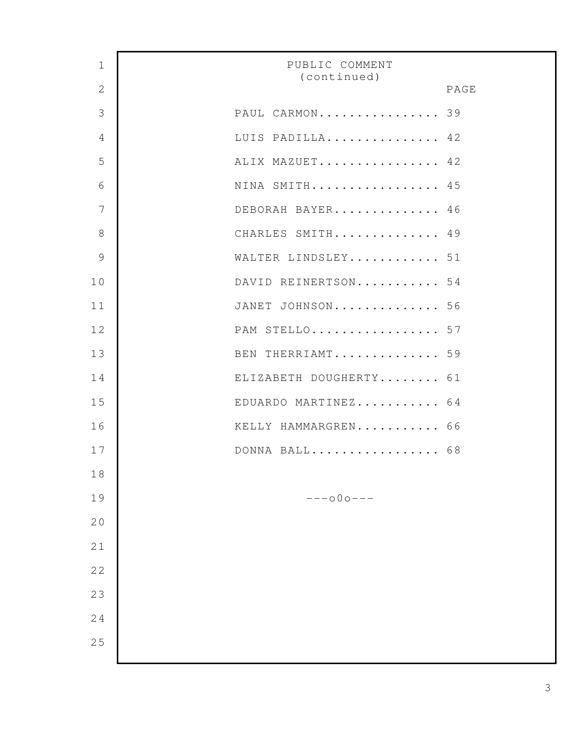| $\mathbf 1$    | PUBLIC COMMENT<br>(continued) |      |
|----------------|-------------------------------|------|
| $\overline{2}$ |                               | PAGE |
| 3              | PAUL CARMON 39                |      |
| $\overline{4}$ | LUIS PADILLA                  | -42  |
| 5              | ALIX MAZUET                   | 42   |
| 6              | NINA SMITH                    | 45   |
| 7              | DEBORAH BAYER                 | 46   |
| 8              | CHARLES SMITH 49              |      |
| 9              | WALTER LINDSLEY 51            |      |
| 10             | DAVID REINERTSON              | 54   |
| 11             | JANET JOHNSON 56              |      |
| 12             | PAM STELLO 57                 |      |
| 13             | BEN THERRIAMT 59              |      |
| 14             | ELIZABETH DOUGHERTY           | 61   |
| 15             | EDUARDO MARTINEZ 64           |      |
| 16             | KELLY HAMMARGREN 66           |      |
| 17             | DONNA BALL 68                 |      |
| 18             |                               |      |
| 19             | $---000---$                   |      |
| 20             |                               |      |
| 21             |                               |      |
| 22             |                               |      |
| 23             |                               |      |
| 24             |                               |      |
| 25             |                               |      |
|                |                               |      |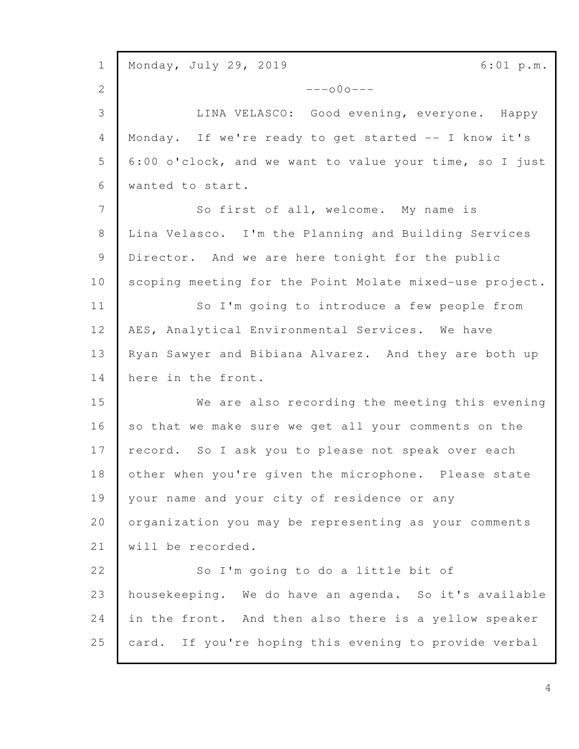| $\mathbf 1$    | Monday, July 29, 2019<br>6:01~p.m.                      |
|----------------|---------------------------------------------------------|
| $\mathbf{2}$   | $---000---$                                             |
| 3              | LINA VELASCO: Good evening, everyone. Happy             |
| $\overline{4}$ | Monday. If we're ready to get started -- I know it's    |
| 5              | 6:00 o'clock, and we want to value your time, so I just |
| 6              | wanted to start.                                        |
| 7              | So first of all, welcome. My name is                    |
| $\,8\,$        | Lina Velasco. I'm the Planning and Building Services    |
| $\mathsf 9$    | Director. And we are here tonight for the public        |
| 10             | scoping meeting for the Point Molate mixed-use project. |
| 11             | So I'm going to introduce a few people from             |
| 12             | AES, Analytical Environmental Services. We have         |
| 13             | Ryan Sawyer and Bibiana Alvarez. And they are both up   |
| 14             | here in the front.                                      |
| 15             | We are also recording the meeting this evening          |
| 16             | so that we make sure we get all your comments on the    |
| 17             | record. So I ask you to please not speak over each      |
| 18             | other when you're given the microphone. Please state    |
| 19             | your name and your city of residence or any             |
| 20             | organization you may be representing as your comments   |
| 21             | will be recorded.                                       |
| 22             | So I'm going to do a little bit of                      |
| 23             | housekeeping. We do have an agenda. So it's available   |
| 24             | in the front. And then also there is a yellow speaker   |
| 25             | card. If you're hoping this evening to provide verbal   |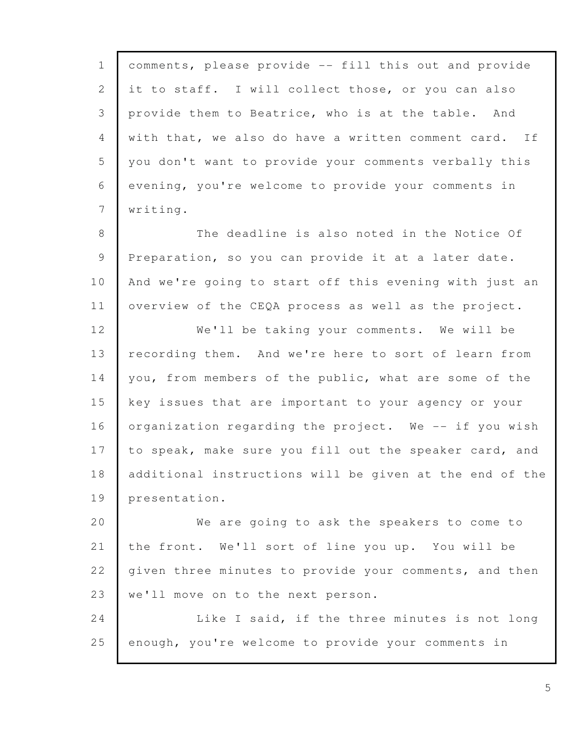1 comments, please provide -- fill this out and provide 2 it to staff. I will collect those, or you can also 3 provide them to Beatrice, who is at the table. And 4 with that, we also do have a written comment card. If 5 you don't want to provide your comments verbally this 6 evening, you're welcome to provide your comments in 7 writing. 8 The deadline is also noted in the Notice Of 9 Preparation, so you can provide it at a later date. 10 And we're going to start off this evening with just an 11 overview of the CEQA process as well as the project. 12 We'll be taking your comments. We will be 13 recording them. And we're here to sort of learn from 14 you, from members of the public, what are some of the 15 key issues that are important to your agency or your 16 | organization regarding the project. We -- if you wish 17 to speak, make sure you fill out the speaker card, and 18 additional instructions will be given at the end of the 19 presentation. 20 We are going to ask the speakers to come to 21 the front. We'll sort of line you up. You will be 22 given three minutes to provide your comments, and then 23 | we'll move on to the next person. 24 Like I said, if the three minutes is not long 25 enough, you're welcome to provide your comments in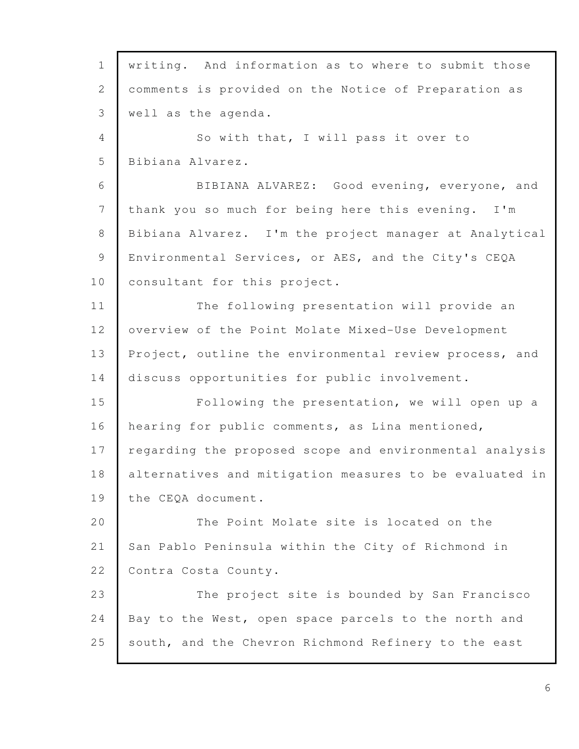| $\mathbf 1$    | writing. And information as to where to submit those    |
|----------------|---------------------------------------------------------|
| $\mathbf{2}$   | comments is provided on the Notice of Preparation as    |
| 3              | well as the agenda.                                     |
| $\overline{4}$ | So with that, I will pass it over to                    |
| 5              | Bibiana Alvarez.                                        |
| 6              | BIBIANA ALVAREZ: Good evening, everyone, and            |
| $7\phantom{.}$ | thank you so much for being here this evening. I'm      |
| 8              | Bibiana Alvarez. I'm the project manager at Analytical  |
| $\mathcal{G}$  | Environmental Services, or AES, and the City's CEQA     |
| 10             | consultant for this project.                            |
| 11             | The following presentation will provide an              |
| 12             | overview of the Point Molate Mixed-Use Development      |
| 13             | Project, outline the environmental review process, and  |
| 14             | discuss opportunities for public involvement.           |
| 15             | Following the presentation, we will open up a           |
| 16             | hearing for public comments, as Lina mentioned,         |
| 17             | regarding the proposed scope and environmental analysis |
| 18             | alternatives and mitigation measures to be evaluated in |
| 19             | the CEQA document.                                      |
| 20             | The Point Molate site is located on the                 |
| 21             | San Pablo Peninsula within the City of Richmond in      |
| 22             | Contra Costa County.                                    |
| 23             | The project site is bounded by San Francisco            |
| 24             | Bay to the West, open space parcels to the north and    |
| 25             | south, and the Chevron Richmond Refinery to the east    |
|                |                                                         |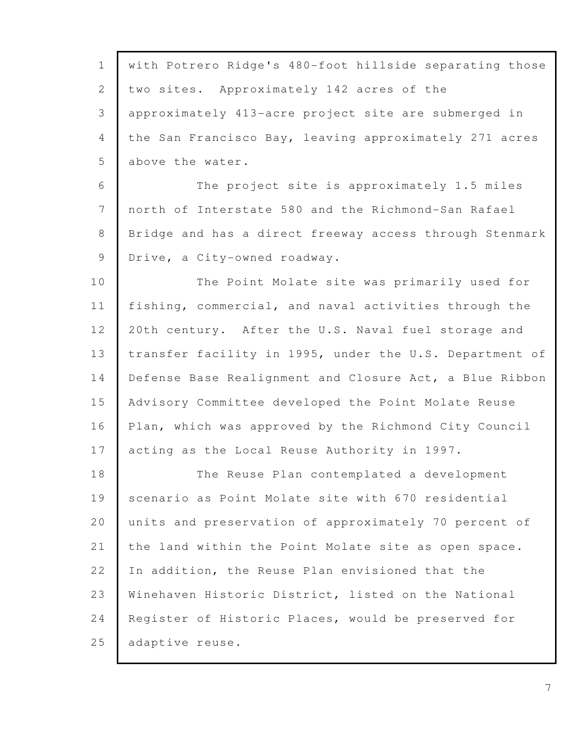| with Potrero Ridge's 480-foot hillside separating those |
|---------------------------------------------------------|
| two sites. Approximately 142 acres of the               |
| approximately 413-acre project site are submerged in    |
| the San Francisco Bay, leaving approximately 271 acres  |
| above the water.                                        |
| The project site is approximately 1.5 miles             |
| north of Interstate 580 and the Richmond-San Rafael     |
| Bridge and has a direct freeway access through Stenmark |
| Drive, a City-owned roadway.                            |
| The Point Molate site was primarily used for            |
| fishing, commercial, and naval activities through the   |
| 20th century. After the U.S. Naval fuel storage and     |
| transfer facility in 1995, under the U.S. Department of |
| Defense Base Realignment and Closure Act, a Blue Ribbon |
| Advisory Committee developed the Point Molate Reuse     |
| Plan, which was approved by the Richmond City Council   |
| acting as the Local Reuse Authority in 1997.            |
| The Reuse Plan contemplated a development               |
| scenario as Point Molate site with 670 residential      |
| units and preservation of approximately 70 percent of   |
| the land within the Point Molate site as open space.    |
| In addition, the Reuse Plan envisioned that the         |
| Winehaven Historic District, listed on the National     |
| Register of Historic Places, would be preserved for     |
| adaptive reuse.                                         |
|                                                         |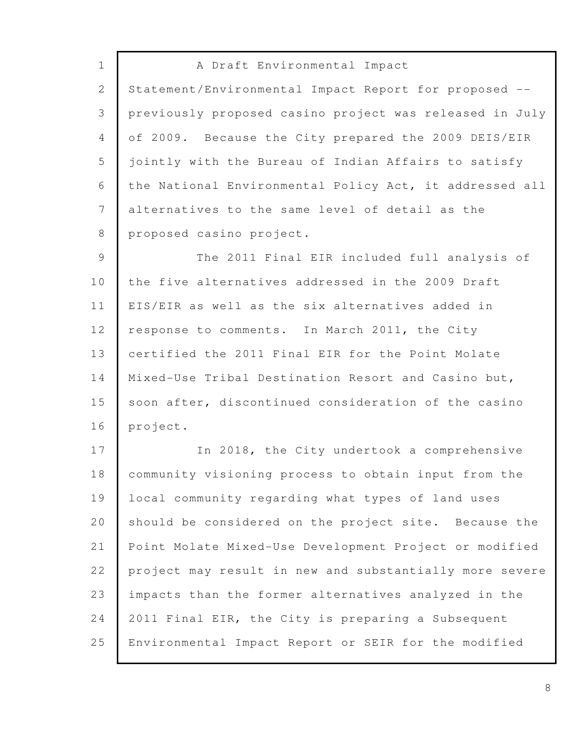1 **A Draft Environmental Impact** 2 Statement/Environmental Impact Report for proposed -- 3 previously proposed casino project was released in July 4 of 2009. Because the City prepared the 2009 DEIS/EIR 5 jointly with the Bureau of Indian Affairs to satisfy 6 the National Environmental Policy Act, it addressed all 7 alternatives to the same level of detail as the 8 proposed casino project. 9 The 2011 Final EIR included full analysis of 10 the five alternatives addressed in the 2009 Draft 11 EIS/EIR as well as the six alternatives added in 12 response to comments. In March 2011, the City 13 certified the 2011 Final EIR for the Point Molate 14 Mixed-Use Tribal Destination Resort and Casino but, 15 soon after, discontinued consideration of the casino 16 project. 17 In 2018, the City undertook a comprehensive 18 community visioning process to obtain input from the 19 local community regarding what types of land uses 20 should be considered on the project site. Because the 21 Point Molate Mixed-Use Development Project or modified 22 project may result in new and substantially more severe 23 impacts than the former alternatives analyzed in the 24 2011 Final EIR, the City is preparing a Subsequent 25 Environmental Impact Report or SEIR for the modified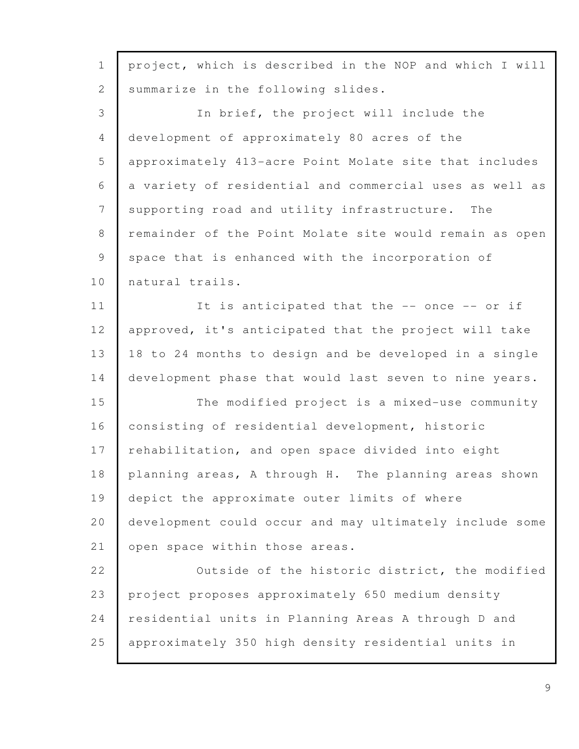| $\mathbf 1$    | project, which is described in the NOP and which I will |
|----------------|---------------------------------------------------------|
| 2              | summarize in the following slides.                      |
| 3              | In brief, the project will include the                  |
| $\overline{4}$ | development of approximately 80 acres of the            |
| 5              | approximately 413-acre Point Molate site that includes  |
| 6              | a variety of residential and commercial uses as well as |
| $7\phantom{.}$ | supporting road and utility infrastructure.<br>The      |
| 8              | remainder of the Point Molate site would remain as open |
| $\mathcal{G}$  | space that is enhanced with the incorporation of        |
| 10             | natural trails.                                         |
| 11             | It is anticipated that the -- once -- or if             |
| 12             | approved, it's anticipated that the project will take   |
| 13             | 18 to 24 months to design and be developed in a single  |
| 14             | development phase that would last seven to nine years.  |
| 15             | The modified project is a mixed-use community           |
| 16             | consisting of residential development, historic         |
| 17             | rehabilitation, and open space divided into eight       |
| 18             | planning areas, A through H. The planning areas shown   |
| 19             | depict the approximate outer limits of where            |
| 20             | development could occur and may ultimately include some |
| 21             | open space within those areas.                          |
| 22             | Outside of the historic district, the modified          |
| 23             | project proposes approximately 650 medium density       |
| 24             | residential units in Planning Areas A through D and     |
| 25             | approximately 350 high density residential units in     |
|                |                                                         |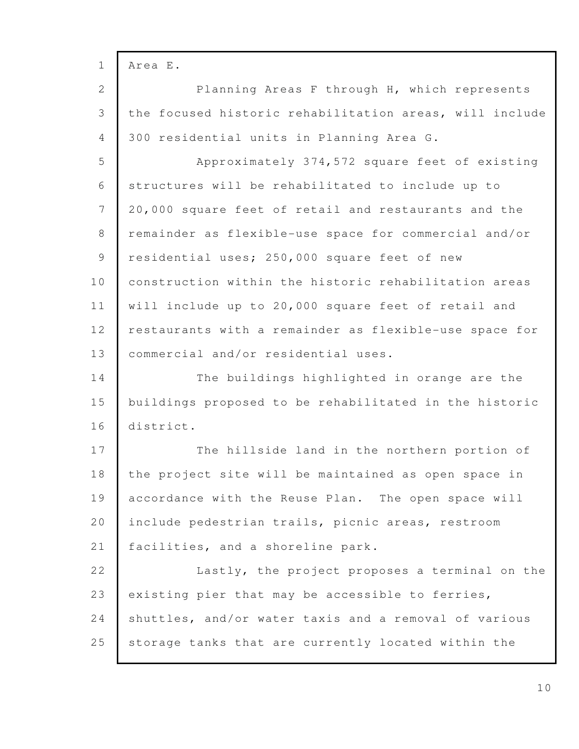| $\mathbf 1$     | Area E.                                                 |
|-----------------|---------------------------------------------------------|
| 2               | Planning Areas F through H, which represents            |
| 3               | the focused historic rehabilitation areas, will include |
| $\overline{4}$  | 300 residential units in Planning Area G.               |
| 5               | Approximately 374,572 square feet of existing           |
| 6               | structures will be rehabilitated to include up to       |
| $7\phantom{.0}$ | 20,000 square feet of retail and restaurants and the    |
| 8               | remainder as flexible-use space for commercial and/or   |
| 9               | residential uses; 250,000 square feet of new            |
| 10              | construction within the historic rehabilitation areas   |
| 11              | will include up to 20,000 square feet of retail and     |
| 12              | restaurants with a remainder as flexible-use space for  |
| 13              | commercial and/or residential uses.                     |
| 14              | The buildings highlighted in orange are the             |
| 15              | buildings proposed to be rehabilitated in the historic  |
| 16              | district.                                               |
| 17              | The hillside land in the northern portion of            |
| 18              | the project site will be maintained as open space in    |
| 19              | accordance with the Reuse Plan. The open space will     |
| 20              | include pedestrian trails, picnic areas, restroom       |
| 21              | facilities, and a shoreline park.                       |
| 22              | Lastly, the project proposes a terminal on the          |
| 23              | existing pier that may be accessible to ferries,        |
| 24              | shuttles, and/or water taxis and a removal of various   |
| 25              | storage tanks that are currently located within the     |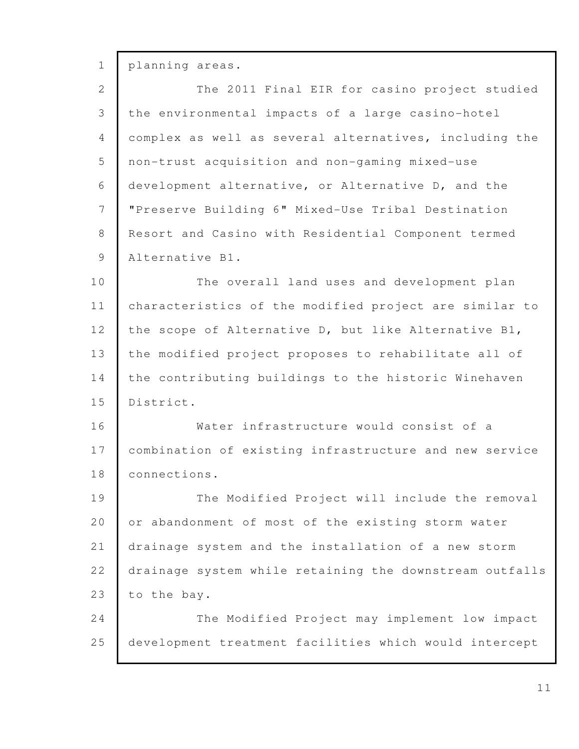1 planning areas.

2 The 2011 Final EIR for casino project studied 3 the environmental impacts of a large casino-hotel 4 complex as well as several alternatives, including the 5 non-trust acquisition and non-gaming mixed-use 6 development alternative, or Alternative D, and the 7 "Preserve Building 6" Mixed-Use Tribal Destination 8 Resort and Casino with Residential Component termed 9 Alternative B1.

10 The overall land uses and development plan 11 characteristics of the modified project are similar to 12 the scope of Alternative D, but like Alternative B1, 13 the modified project proposes to rehabilitate all of 14 the contributing buildings to the historic Winehaven 15 District.

16 Water infrastructure would consist of a 17 combination of existing infrastructure and new service 18 connections.

19 The Modified Project will include the removal 20 or abandonment of most of the existing storm water 21 drainage system and the installation of a new storm 22 drainage system while retaining the downstream outfalls 23 to the bay.

24 The Modified Project may implement low impact 25 development treatment facilities which would intercept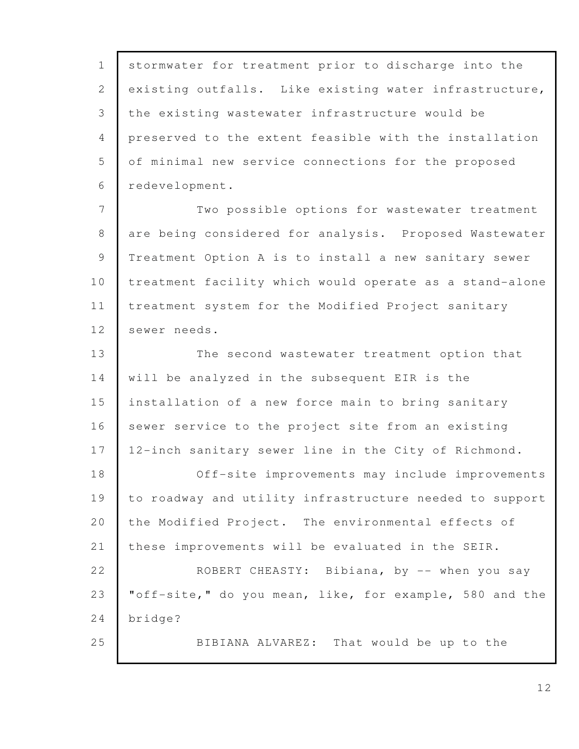1 stormwater for treatment prior to discharge into the 2 existing outfalls. Like existing water infrastructure, 3 the existing wastewater infrastructure would be 4 preserved to the extent feasible with the installation 5 of minimal new service connections for the proposed 6 redevelopment. 7 Two possible options for wastewater treatment 8 are being considered for analysis. Proposed Wastewater 9 Treatment Option A is to install a new sanitary sewer 10 treatment facility which would operate as a stand-alone 11 treatment system for the Modified Project sanitary 12 sewer needs. 13 The second wastewater treatment option that 14 will be analyzed in the subsequent EIR is the 15 installation of a new force main to bring sanitary 16 sewer service to the project site from an existing 17 12-inch sanitary sewer line in the City of Richmond. 18 Off-site improvements may include improvements 19 to roadway and utility infrastructure needed to support 20 the Modified Project. The environmental effects of 21 | these improvements will be evaluated in the SEIR. 22 ROBERT CHEASTY: Bibiana, by -- when you say 23 "off-site," do you mean, like, for example, 580 and the 24 bridge? 25 BIBIANA ALVAREZ: That would be up to the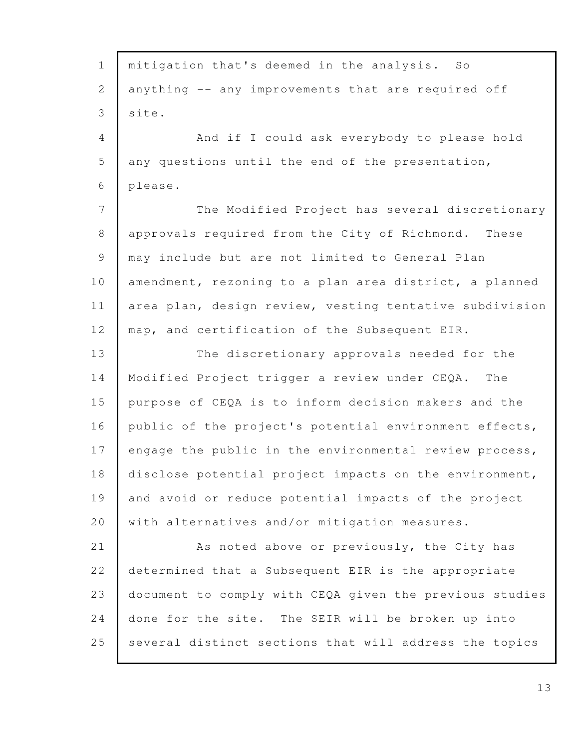| $\mathbf 1$    | mitigation that's deemed in the analysis. So            |
|----------------|---------------------------------------------------------|
| $\mathbf{2}$   | anything -- any improvements that are required off      |
| 3              | site.                                                   |
| $\overline{4}$ | And if I could ask everybody to please hold             |
| 5              | any questions until the end of the presentation,        |
| 6              | please.                                                 |
| $7\phantom{.}$ | The Modified Project has several discretionary          |
| 8              | approvals required from the City of Richmond. These     |
| $\overline{9}$ | may include but are not limited to General Plan         |
| 10             | amendment, rezoning to a plan area district, a planned  |
| 11             | area plan, design review, vesting tentative subdivision |
| 12             | map, and certification of the Subsequent EIR.           |
| 13             | The discretionary approvals needed for the              |
| 14             | Modified Project trigger a review under CEQA.<br>The    |
| 15             | purpose of CEQA is to inform decision makers and the    |
| 16             | public of the project's potential environment effects,  |
| 17             | engage the public in the environmental review process,  |
| 18             | disclose potential project impacts on the environment,  |
| 19             | and avoid or reduce potential impacts of the project    |
| 20             | with alternatives and/or mitigation measures.           |
| 21             | As noted above or previously, the City has              |
| 22             | determined that a Subsequent EIR is the appropriate     |
| 23             | document to comply with CEQA given the previous studies |
| 24             | done for the site. The SEIR will be broken up into      |
| 25             | several distinct sections that will address the topics  |
|                |                                                         |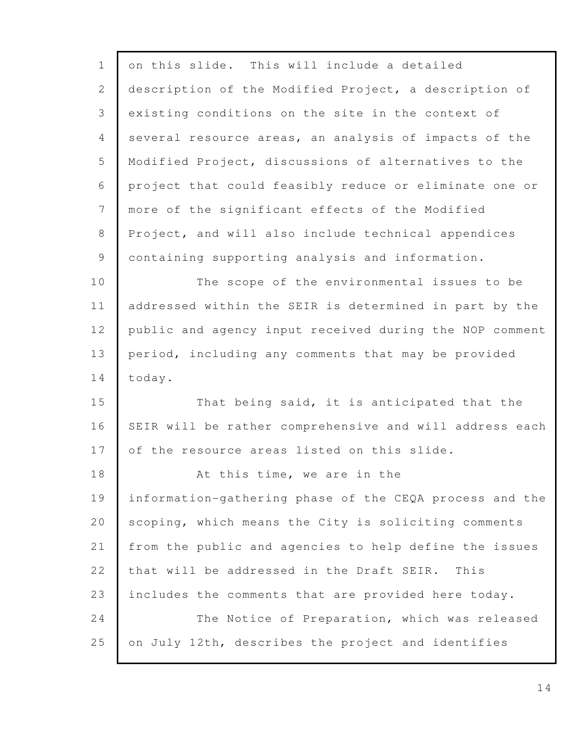| $\mathbf 1$    | on this slide. This will include a detailed             |
|----------------|---------------------------------------------------------|
| 2              | description of the Modified Project, a description of   |
| 3              | existing conditions on the site in the context of       |
| 4              | several resource areas, an analysis of impacts of the   |
| 5              | Modified Project, discussions of alternatives to the    |
| 6              | project that could feasibly reduce or eliminate one or  |
| $7\phantom{.}$ | more of the significant effects of the Modified         |
| $\,8\,$        | Project, and will also include technical appendices     |
| 9              | containing supporting analysis and information.         |
| 10             | The scope of the environmental issues to be             |
| 11             | addressed within the SEIR is determined in part by the  |
| 12             | public and agency input received during the NOP comment |
| 13             | period, including any comments that may be provided     |
| 14             | today.                                                  |
| 15             | That being said, it is anticipated that the             |
| 16             | SEIR will be rather comprehensive and will address each |
| 17             | of the resource areas listed on this slide.             |
| 18             | At this time, we are in the                             |
| 19             | information-gathering phase of the CEQA process and the |
| 20             | scoping, which means the City is soliciting comments    |
| 21             | from the public and agencies to help define the issues  |
| 22             | that will be addressed in the Draft SEIR.<br>This       |
| 23             | includes the comments that are provided here today.     |
| 24             | The Notice of Preparation, which was released           |
| 25             | on July 12th, describes the project and identifies      |
|                |                                                         |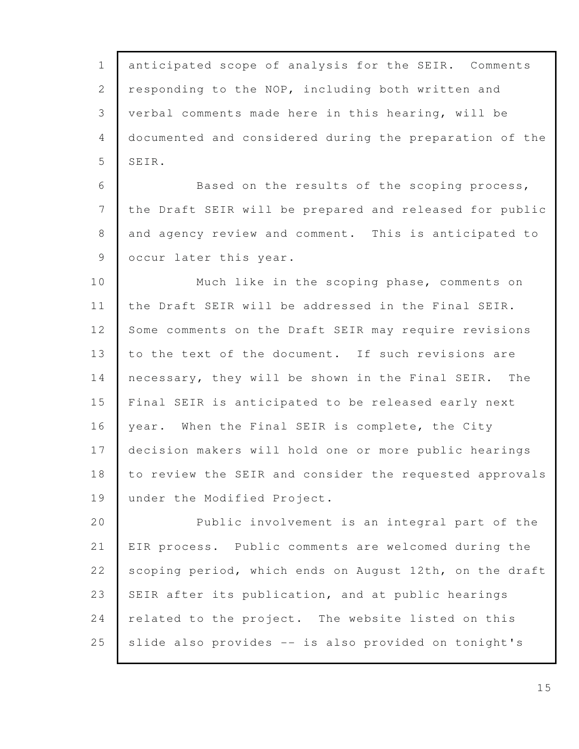| $\mathbf 1$    | anticipated scope of analysis for the SEIR. Comments    |
|----------------|---------------------------------------------------------|
| $\mathbf{2}$   | responding to the NOP, including both written and       |
| 3              | verbal comments made here in this hearing, will be      |
| 4              | documented and considered during the preparation of the |
| 5              | SEIR.                                                   |
| 6              | Based on the results of the scoping process,            |
| $7\phantom{.}$ | the Draft SEIR will be prepared and released for public |
| $8\,$          | and agency review and comment. This is anticipated to   |
| 9              | occur later this year.                                  |
| 10             | Much like in the scoping phase, comments on             |
| 11             | the Draft SEIR will be addressed in the Final SEIR.     |
| 12             | Some comments on the Draft SEIR may require revisions   |
| 13             | to the text of the document. If such revisions are      |
| 14             | necessary, they will be shown in the Final SEIR. The    |
| 15             | Final SEIR is anticipated to be released early next     |
| 16             | year. When the Final SEIR is complete, the City         |
| 17             | decision makers will hold one or more public hearings   |
| 18             | to review the SEIR and consider the requested approvals |
| 19             | under the Modified Project.                             |
| 20             | Public involvement is an integral part of the           |
| 21             | EIR process. Public comments are welcomed during the    |
| 22             | scoping period, which ends on August 12th, on the draft |
| 23             | SEIR after its publication, and at public hearings      |
| 24             | related to the project. The website listed on this      |
| 25             | slide also provides -- is also provided on tonight's    |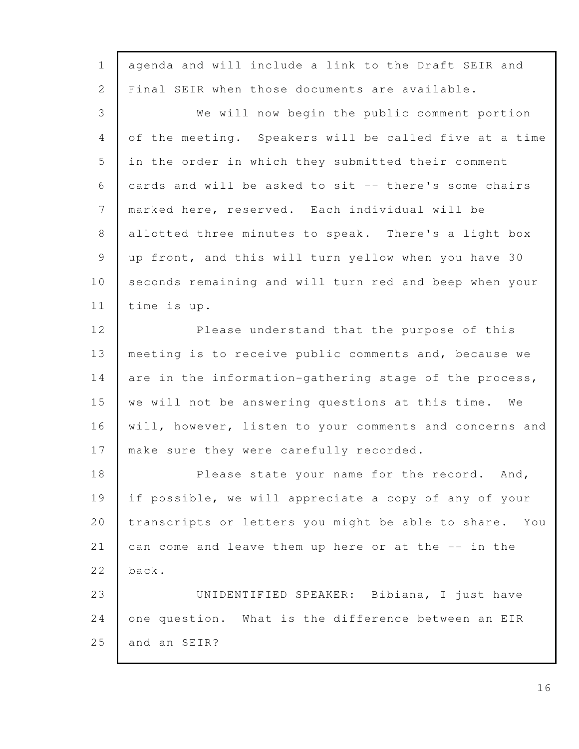| $\mathbf 1$    | agenda and will include a link to the Draft SEIR and    |
|----------------|---------------------------------------------------------|
| 2              | Final SEIR when those documents are available.          |
| 3              | We will now begin the public comment portion            |
| 4              | of the meeting. Speakers will be called five at a time  |
| 5              | in the order in which they submitted their comment      |
| 6              | cards and will be asked to sit -- there's some chairs   |
| $7\phantom{.}$ | marked here, reserved. Each individual will be          |
| 8              | allotted three minutes to speak. There's a light box    |
| $\overline{9}$ | up front, and this will turn yellow when you have 30    |
| 10             | seconds remaining and will turn red and beep when your  |
| 11             | time is up.                                             |
| 12             | Please understand that the purpose of this              |
| 13             | meeting is to receive public comments and, because we   |
| 14             | are in the information-gathering stage of the process,  |
| 15             | we will not be answering questions at this time. We     |
| 16             | will, however, listen to your comments and concerns and |
| 17             | make sure they were carefully recorded.                 |
| 18             | Please state your name for the record. And,             |
| 19             | if possible, we will appreciate a copy of any of your   |
| 20             | transcripts or letters you might be able to share. You  |
| 21             | can come and leave them up here or at the -- in the     |
| 22             | back.                                                   |
| 23             | UNIDENTIFIED SPEAKER: Bibiana, I just have              |
| 24             | one question. What is the difference between an EIR     |
| 25             | and an SEIR?                                            |
|                |                                                         |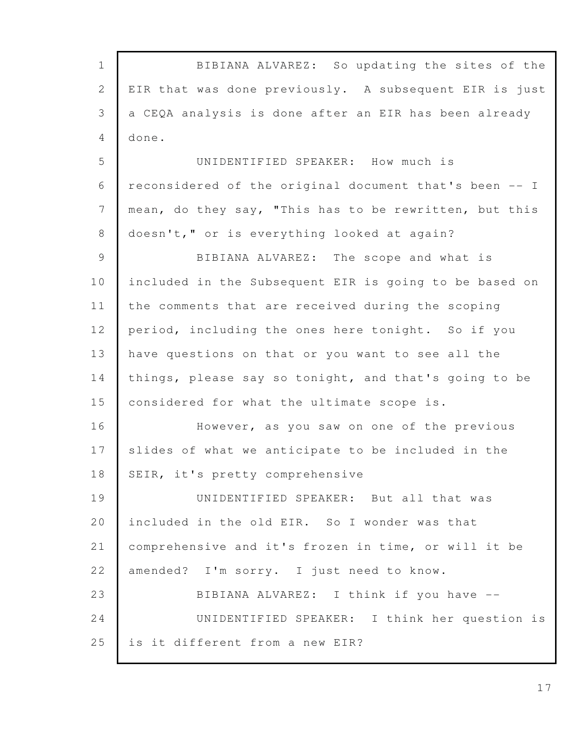1 BIBIANA ALVAREZ: So updating the sites of the 2 | EIR that was done previously. A subsequent EIR is just 3 a CEQA analysis is done after an EIR has been already 4 done. 5 UNIDENTIFIED SPEAKER: How much is 6 reconsidered of the original document that's been -- I 7 mean, do they say, "This has to be rewritten, but this 8 doesn't," or is everything looked at again? 9 BIBIANA ALVAREZ: The scope and what is 10 included in the Subsequent EIR is going to be based on 11 the comments that are received during the scoping 12 period, including the ones here tonight. So if you 13 have questions on that or you want to see all the 14 things, please say so tonight, and that's going to be 15 | considered for what the ultimate scope is. 16 However, as you saw on one of the previous 17 | slides of what we anticipate to be included in the 18 SEIR, it's pretty comprehensive 19 UNIDENTIFIED SPEAKER: But all that was 20 included in the old EIR. So I wonder was that 21 comprehensive and it's frozen in time, or will it be 22 amended? I'm sorry. I just need to know. 23 BIBIANA ALVAREZ: I think if you have -- 24 UNIDENTIFIED SPEAKER: I think her question is 25 | is it different from a new EIR?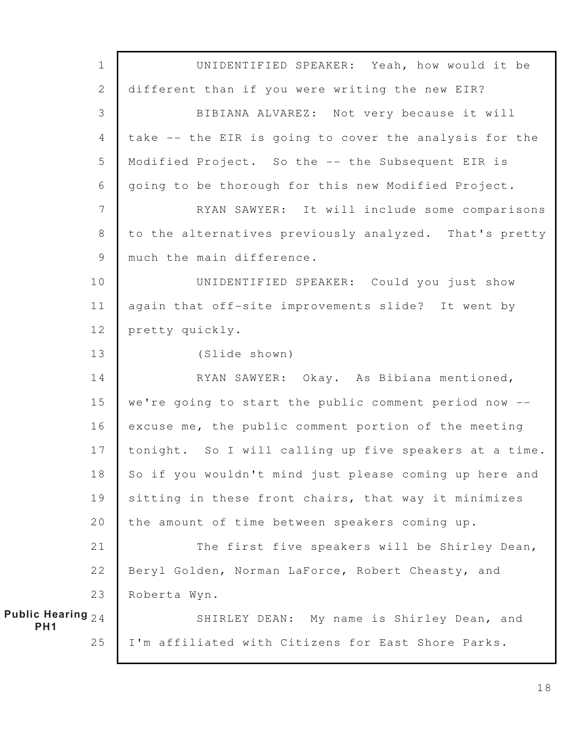1 UNIDENTIFIED SPEAKER: Yeah, how would it be 2 different than if you were writing the new EIR? 3 BIBIANA ALVAREZ: Not very because it will 4 take -- the EIR is going to cover the analysis for the 5 Modified Project. So the -- the Subsequent EIR is 6 going to be thorough for this new Modified Project. 7 RYAN SAWYER: It will include some comparisons 8 to the alternatives previously analyzed. That's pretty 9 | much the main difference. 10 UNIDENTIFIED SPEAKER: Could you just show 11 again that off-site improvements slide? It went by 12 pretty quickly. 13 (Slide shown) 14 RYAN SAWYER: Okay. As Bibiana mentioned, 15 we're going to start the public comment period now -- 16 excuse me, the public comment portion of the meeting 17 tonight. So I will calling up five speakers at a time. 18 So if you wouldn't mind just please coming up here and 19 sitting in these front chairs, that way it minimizes 20 the amount of time between speakers coming up. 21 The first five speakers will be Shirley Dean, 22 Beryl Golden, Norman LaForce, Robert Cheasty, and 23 Roberta Wyn. SHIRLEY DEAN: My name is Shirley Dean, and 25 I'm affiliated with Citizens for East Shore Parks. **Public Hearing** 24

**PH1**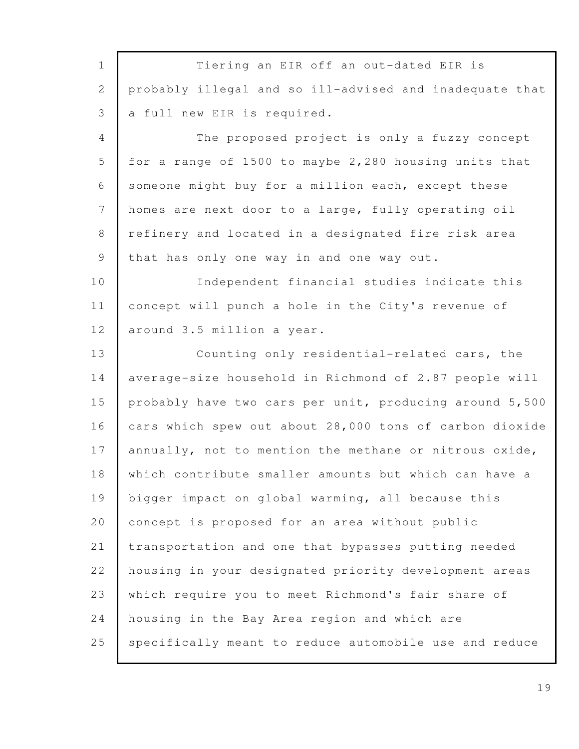1 Tiering an EIR off an out-dated EIR is 2 probably illegal and so ill-advised and inadequate that 3 a full new EIR is required. 4 The proposed project is only a fuzzy concept 5 for a range of 1500 to maybe 2,280 housing units that 6 someone might buy for a million each, except these 7 homes are next door to a large, fully operating oil 8 refinery and located in a designated fire risk area 9 that has only one way in and one way out. 10 Independent financial studies indicate this 11 concept will punch a hole in the City's revenue of 12 around 3.5 million a year. 13 Counting only residential-related cars, the 14 average-size household in Richmond of 2.87 people will 15 probably have two cars per unit, producing around 5,500 16 cars which spew out about 28,000 tons of carbon dioxide 17 annually, not to mention the methane or nitrous oxide, 18 which contribute smaller amounts but which can have a 19 bigger impact on global warming, all because this 20 concept is proposed for an area without public 21 | transportation and one that bypasses putting needed 22 housing in your designated priority development areas 23 which require you to meet Richmond's fair share of 24 housing in the Bay Area region and which are 25 specifically meant to reduce automobile use and reduce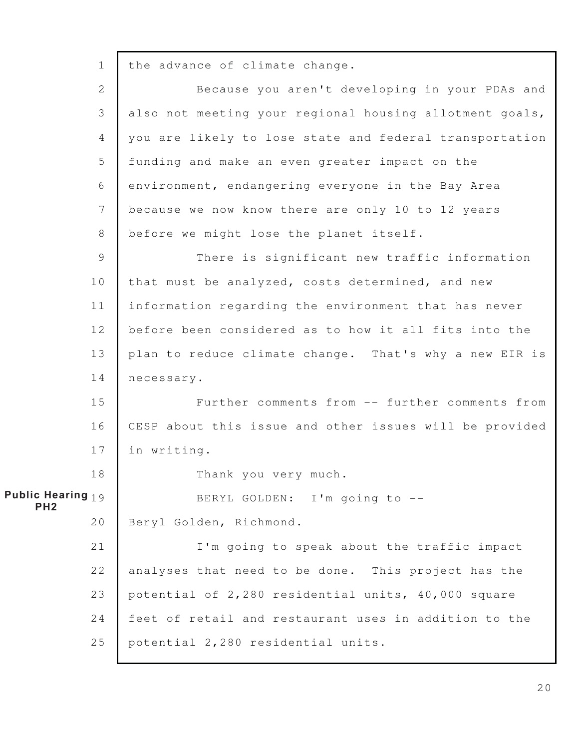| $\mathbf 1$                            | the advance of climate change.                          |
|----------------------------------------|---------------------------------------------------------|
| $\mathbf{2}$                           | Because you aren't developing in your PDAs and          |
| 3                                      | also not meeting your regional housing allotment goals, |
| 4                                      | you are likely to lose state and federal transportation |
| 5                                      | funding and make an even greater impact on the          |
| 6                                      | environment, endangering everyone in the Bay Area       |
| $7\phantom{.0}$                        | because we now know there are only 10 to 12 years       |
| 8                                      | before we might lose the planet itself.                 |
| 9                                      | There is significant new traffic information            |
| 10                                     | that must be analyzed, costs determined, and new        |
| 11                                     | information regarding the environment that has never    |
| 12                                     | before been considered as to how it all fits into the   |
| 13                                     | plan to reduce climate change. That's why a new EIR is  |
| 14                                     | necessary.                                              |
| 15                                     | Further comments from -- further comments from          |
| 16                                     | CESP about this issue and other issues will be provided |
| 17                                     | in writing.                                             |
| 18                                     | Thank you very much.                                    |
| Public Hearing $19$<br>PH <sub>2</sub> | BERYL GOLDEN: I'm going to --                           |
| 20                                     | Beryl Golden, Richmond.                                 |
| 21                                     | I'm going to speak about the traffic impact             |
| 22                                     | analyses that need to be done. This project has the     |
| 23                                     | potential of 2,280 residential units, 40,000 square     |
| 24                                     | feet of retail and restaurant uses in addition to the   |
| 25                                     | potential 2,280 residential units.                      |
|                                        |                                                         |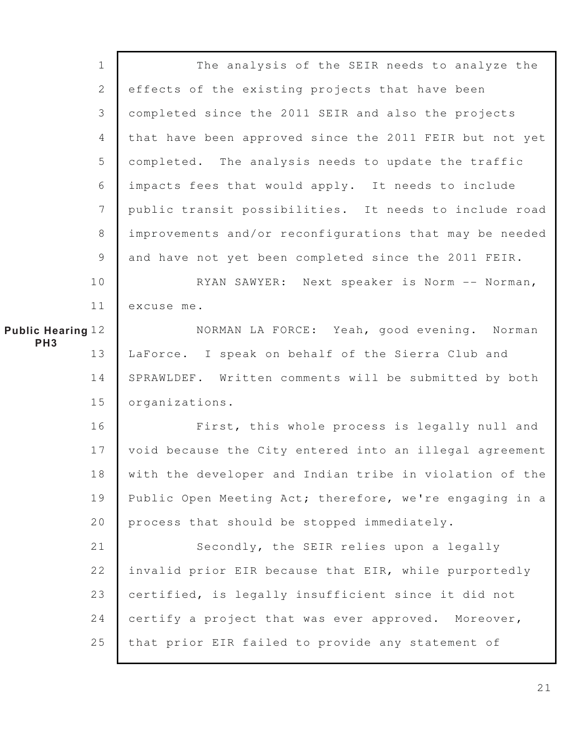1 The analysis of the SEIR needs to analyze the 2 effects of the existing projects that have been 3 completed since the 2011 SEIR and also the projects 4 that have been approved since the 2011 FEIR but not yet 5 | completed. The analysis needs to update the traffic 6 impacts fees that would apply. It needs to include 7 public transit possibilities. It needs to include road 8 improvements and/or reconfigurations that may be needed 9 and have not yet been completed since the 2011 FEIR. 10 RYAN SAWYER: Next speaker is Norm -- Norman, 11 excuse me. 12 NORMAN LA FORCE: Yeah, good evening. Norman 13 LaForce. I speak on behalf of the Sierra Club and 14 SPRAWLDEF. Written comments will be submitted by both 15 organizations. 16 First, this whole process is legally null and 17 void because the City entered into an illegal agreement 18 with the developer and Indian tribe in violation of the 19 Public Open Meeting Act; therefore, we're engaging in a 20 process that should be stopped immediately. 21 Secondly, the SEIR relies upon a legally 22 invalid prior EIR because that EIR, while purportedly 23 certified, is legally insufficient since it did not 24 certify a project that was ever approved. Moreover, 25 that prior EIR failed to provide any statement of **Public Hearing** 12

**PH3**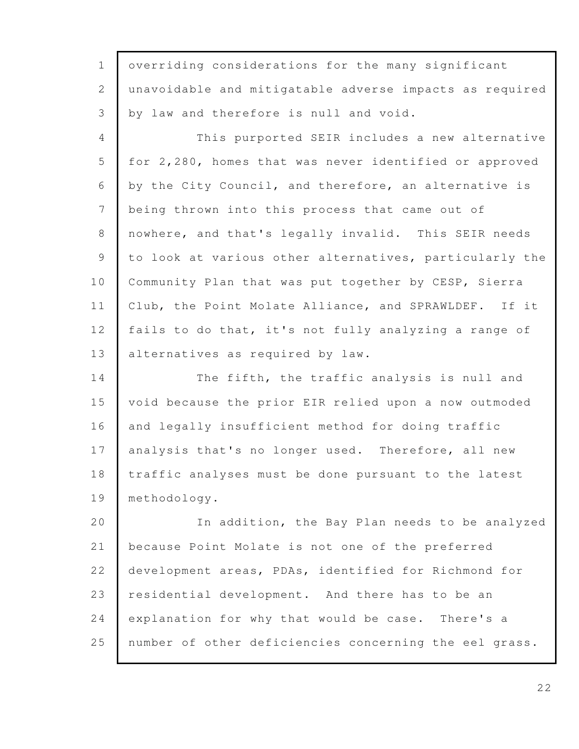1 overriding considerations for the many significant 2 unavoidable and mitigatable adverse impacts as required 3 by law and therefore is null and void. 4 This purported SEIR includes a new alternative 5 for 2,280, homes that was never identified or approved 6 by the City Council, and therefore, an alternative is 7 being thrown into this process that came out of 8 | nowhere, and that's legally invalid. This SEIR needs 9 to look at various other alternatives, particularly the 10 Community Plan that was put together by CESP, Sierra 11 Club, the Point Molate Alliance, and SPRAWLDEF. If it 12 | fails to do that, it's not fully analyzing a range of 13 | alternatives as required by law. 14 The fifth, the traffic analysis is null and 15 void because the prior EIR relied upon a now outmoded 16 and legally insufficient method for doing traffic 17 | analysis that's no longer used. Therefore, all new 18 traffic analyses must be done pursuant to the latest 19 methodology. 20 In addition, the Bay Plan needs to be analyzed 21 because Point Molate is not one of the preferred 22 development areas, PDAs, identified for Richmond for 23 residential development. And there has to be an 24 explanation for why that would be case. There's a 25 number of other deficiencies concerning the eel grass.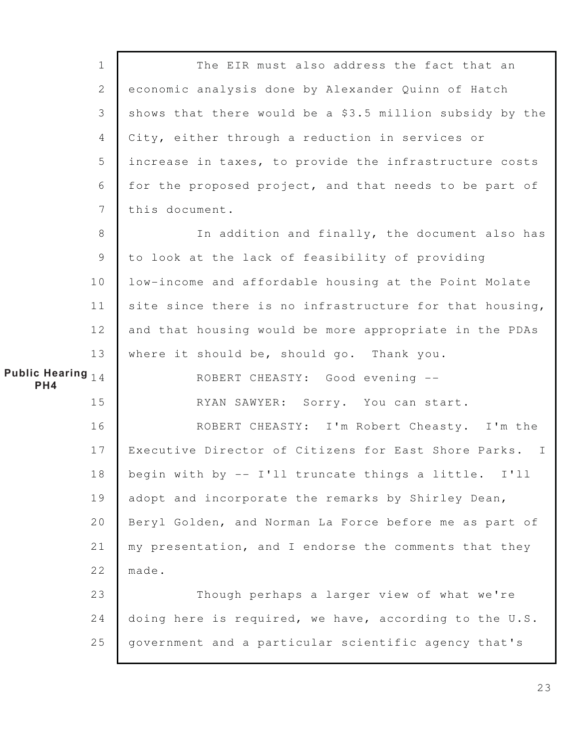| $\mathbf 1$                   | The EIR must also address the fact that an                           |
|-------------------------------|----------------------------------------------------------------------|
| $\mathbf{2}$                  | economic analysis done by Alexander Quinn of Hatch                   |
| 3                             | shows that there would be a \$3.5 million subsidy by the             |
| 4                             | City, either through a reduction in services or                      |
| 5                             | increase in taxes, to provide the infrastructure costs               |
| 6                             | for the proposed project, and that needs to be part of               |
| $7\phantom{.0}$               | this document.                                                       |
| 8                             | In addition and finally, the document also has                       |
| 9                             | to look at the lack of feasibility of providing                      |
| 10                            | low-income and affordable housing at the Point Molate                |
| 11                            | site since there is no infrastructure for that housing,              |
| 12                            | and that housing would be more appropriate in the PDAs               |
| 13                            | where it should be, should go. Thank you.                            |
| Public Hearing $_{14}$<br>PH4 | ROBERT CHEASTY: Good evening --                                      |
| 15                            | RYAN SAWYER: Sorry. You can start.                                   |
| 16                            | ROBERT CHEASTY: I'm Robert Cheasty. I'm the                          |
| 17                            | Executive Director of Citizens for East Shore Parks.<br>$\mathbb{I}$ |
| 18                            | begin with by -- I'll truncate things a little. I'll                 |
| 19                            | adopt and incorporate the remarks by Shirley Dean,                   |
| 20                            | Beryl Golden, and Norman La Force before me as part of               |
| 21                            | my presentation, and I endorse the comments that they                |
| 22                            | made.                                                                |
| 23                            | Though perhaps a larger view of what we're                           |
| 24                            | doing here is required, we have, according to the U.S.               |
| 25                            | government and a particular scientific agency that's                 |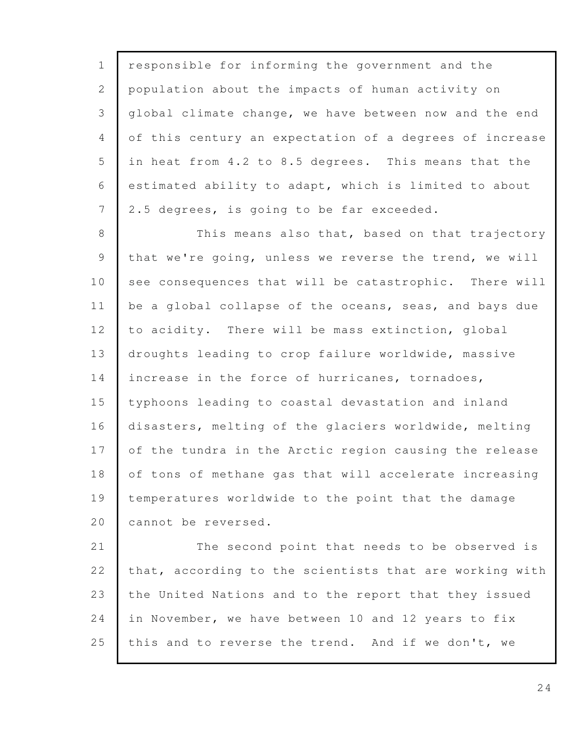1 responsible for informing the government and the 2 population about the impacts of human activity on 3 global climate change, we have between now and the end 4 of this century an expectation of a degrees of increase 5 in heat from 4.2 to 8.5 degrees. This means that the 6 estimated ability to adapt, which is limited to about 7 | 2.5 degrees, is going to be far exceeded.

8 This means also that, based on that trajectory 9 that we're going, unless we reverse the trend, we will 10 see consequences that will be catastrophic. There will 11 be a global collapse of the oceans, seas, and bays due 12 to acidity. There will be mass extinction, global 13 droughts leading to crop failure worldwide, massive 14 increase in the force of hurricanes, tornadoes, 15 typhoons leading to coastal devastation and inland 16 disasters, melting of the glaciers worldwide, melting 17 of the tundra in the Arctic region causing the release 18 of tons of methane gas that will accelerate increasing 19 temperatures worldwide to the point that the damage 20 cannot be reversed.

21 The second point that needs to be observed is 22 that, according to the scientists that are working with 23 the United Nations and to the report that they issued 24 in November, we have between 10 and 12 years to fix 25 this and to reverse the trend. And if we don't, we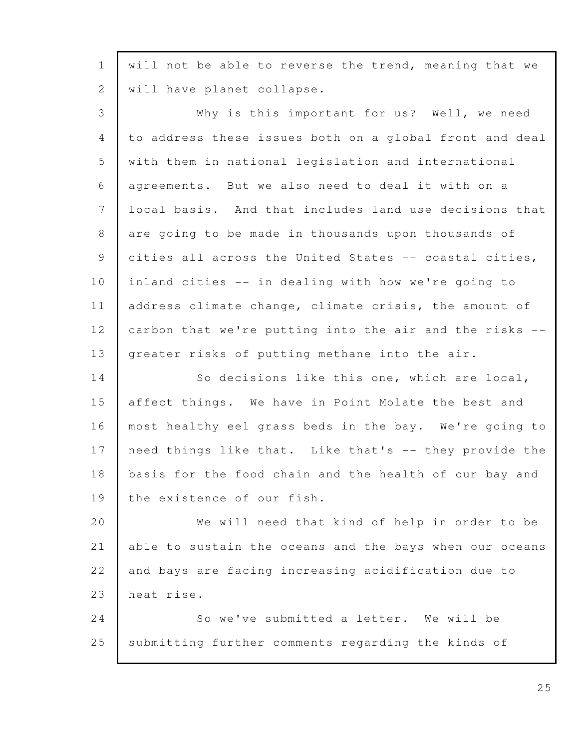| $\mathbf 1$    | will not be able to reverse the trend, meaning that we  |
|----------------|---------------------------------------------------------|
| 2              | will have planet collapse.                              |
| 3              | Why is this important for us? Well, we need             |
| 4              | to address these issues both on a global front and deal |
| 5              | with them in national legislation and international     |
| 6              | agreements. But we also need to deal it with on a       |
| $7\phantom{.}$ | local basis. And that includes land use decisions that  |
| 8              | are going to be made in thousands upon thousands of     |
| $\mathcal{G}$  | cities all across the United States -- coastal cities,  |
| 10             | inland cities -- in dealing with how we're going to     |
| 11             | address climate change, climate crisis, the amount of   |
| 12             | carbon that we're putting into the air and the risks -- |
| 13             | greater risks of putting methane into the air.          |
| 14             | So decisions like this one, which are local,            |
| 15             | affect things. We have in Point Molate the best and     |
| 16             | most healthy eel grass beds in the bay. We're going to  |
| 17             | need things like that. Like that's -- they provide the  |
| 18             | basis for the food chain and the health of our bay and  |
| 19             | the existence of our fish.                              |
| 20             | We will need that kind of help in order to be           |
| 21             | able to sustain the oceans and the bays when our oceans |
| 22             | and bays are facing increasing acidification due to     |
| 23             | heat rise.                                              |
| 24             | So we've submitted a letter. We will be                 |
| 25             | submitting further comments regarding the kinds of      |
|                |                                                         |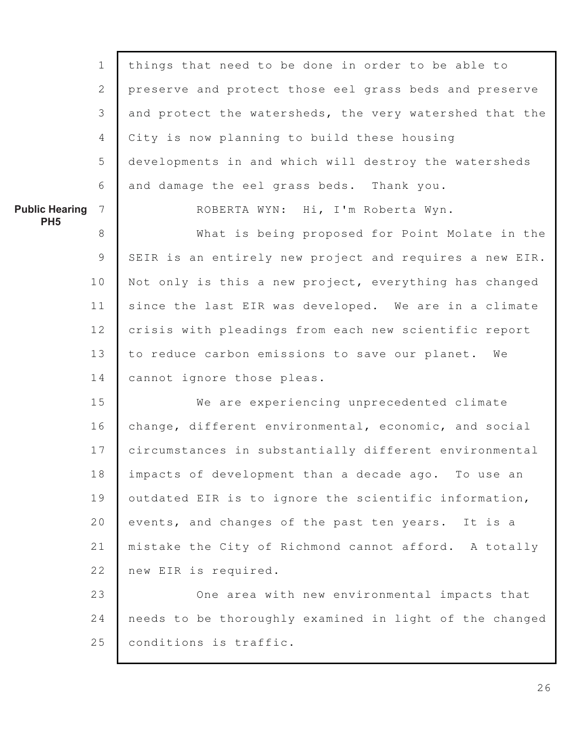| $\mathbf 1$                                                 | things that need to be done in order to be able to      |
|-------------------------------------------------------------|---------------------------------------------------------|
| $\overline{2}$                                              | preserve and protect those eel grass beds and preserve  |
| 3                                                           | and protect the watersheds, the very watershed that the |
| $\overline{4}$                                              | City is now planning to build these housing             |
| 5                                                           | developments in and which will destroy the watersheds   |
| 6                                                           | and damage the eel grass beds. Thank you.               |
| $7\phantom{.0}$<br><b>Public Hearing</b><br>PH <sub>5</sub> | ROBERTA WYN: Hi, I'm Roberta Wyn.                       |
| 8                                                           | What is being proposed for Point Molate in the          |
| $\mathsf 9$                                                 | SEIR is an entirely new project and requires a new EIR. |
| 10                                                          | Not only is this a new project, everything has changed  |
| 11                                                          | since the last EIR was developed. We are in a climate   |
| 12                                                          | crisis with pleadings from each new scientific report   |
| 13                                                          | to reduce carbon emissions to save our planet.<br>We    |
| 14                                                          | cannot ignore those pleas.                              |
| 15                                                          | We are experiencing unprecedented climate               |
| 16                                                          | change, different environmental, economic, and social   |
| 17                                                          | circumstances in substantially different environmental  |
| 18                                                          | impacts of development than a decade ago. To use an     |
| 19                                                          | outdated EIR is to ignore the scientific information,   |
| 20                                                          | events, and changes of the past ten years. It is a      |
| 21                                                          | mistake the City of Richmond cannot afford. A totally   |
| 22                                                          | new EIR is required.                                    |
| 23                                                          | One area with new environmental impacts that            |
| 24                                                          | needs to be thoroughly examined in light of the changed |
| 25                                                          | conditions is traffic.                                  |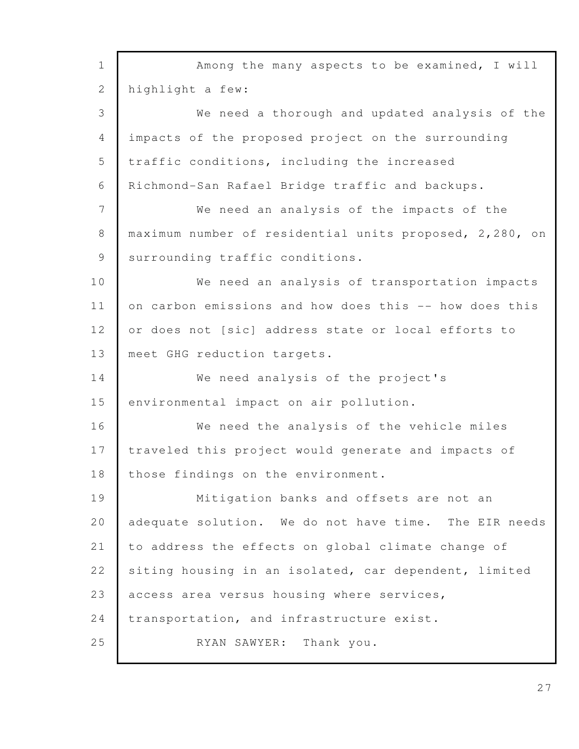1 **Among the many aspects to be examined, I will** 2 highlight a few: 3 We need a thorough and updated analysis of the 4 impacts of the proposed project on the surrounding 5 | traffic conditions, including the increased 6 Richmond-San Rafael Bridge traffic and backups. 7 We need an analysis of the impacts of the 8 | maximum number of residential units proposed, 2,280, on 9 | surrounding traffic conditions. 10 We need an analysis of transportation impacts 11 on carbon emissions and how does this -- how does this 12 or does not [sic] address state or local efforts to 13 | meet GHG reduction targets. 14 We need analysis of the project's 15 environmental impact on air pollution. 16 We need the analysis of the vehicle miles 17 traveled this project would generate and impacts of 18 those findings on the environment. 19 Mitigation banks and offsets are not an 20 adequate solution. We do not have time. The EIR needs 21 to address the effects on global climate change of 22 siting housing in an isolated, car dependent, limited 23 access area versus housing where services, 24 transportation, and infrastructure exist. 25 RYAN SAWYER: Thank you.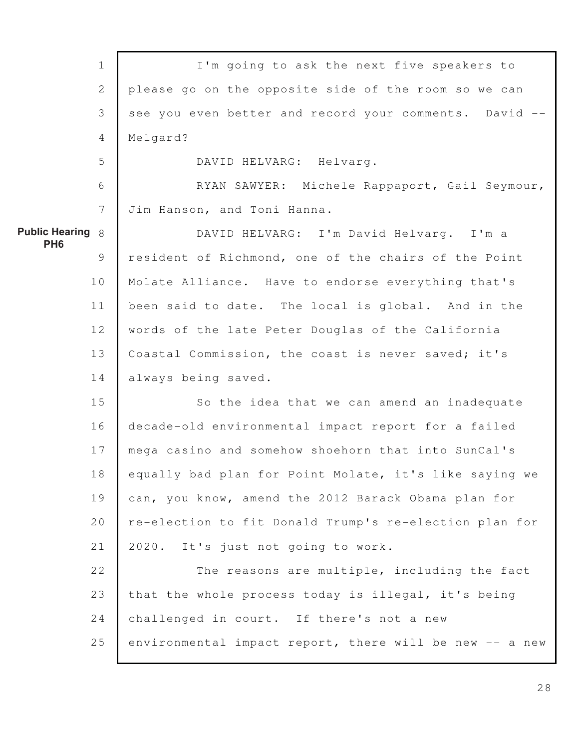1 I'm going to ask the next five speakers to 2 please go on the opposite side of the room so we can 3 see you even better and record your comments. David -- 4 Melgard? 5 DAVID HELVARG: Helvarg. 6 RYAN SAWYER: Michele Rappaport, Gail Seymour, 7 Jim Hanson, and Toni Hanna. DAVID HELVARG: I'm David Helvarg. I'm a 9 resident of Richmond, one of the chairs of the Point 10 Molate Alliance. Have to endorse everything that's 11 been said to date. The local is global. And in the 12 words of the late Peter Douglas of the California 13 | Coastal Commission, the coast is never saved; it's 14 | always being saved. 15 So the idea that we can amend an inadequate 16 decade-old environmental impact report for a failed 17 mega casino and somehow shoehorn that into SunCal's 18 equally bad plan for Point Molate, it's like saying we 19 can, you know, amend the 2012 Barack Obama plan for 20 re-election to fit Donald Trump's re-election plan for 21 2020. It's just not going to work. 22 The reasons are multiple, including the fact 23 that the whole process today is illegal, it's being 24 challenged in court. If there's not a new 25 environmental impact report, there will be new -- a new **Public Hearing** 8 **PH6**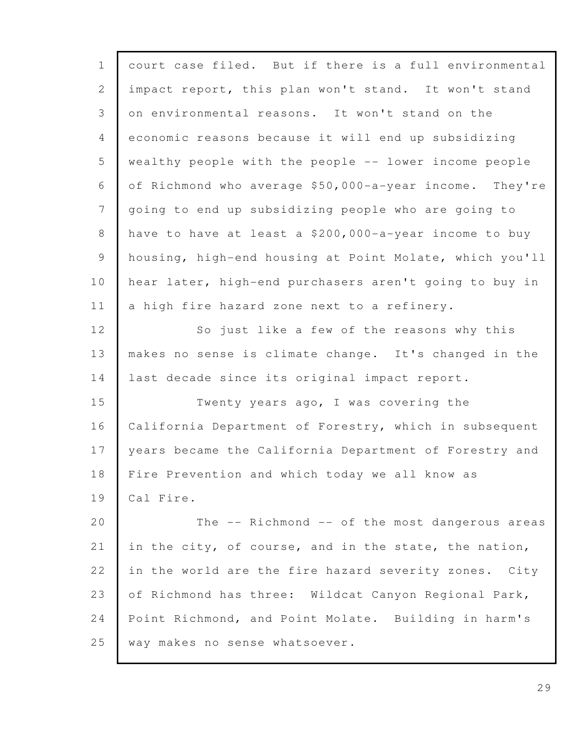| $\mathbf 1$     | court case filed. But if there is a full environmental  |
|-----------------|---------------------------------------------------------|
| $\mathbf{2}$    | impact report, this plan won't stand. It won't stand    |
| 3               | on environmental reasons. It won't stand on the         |
| 4               | economic reasons because it will end up subsidizing     |
| 5               | wealthy people with the people -- lower income people   |
| 6               | of Richmond who average \$50,000-a-year income. They're |
| $7\phantom{.0}$ | going to end up subsidizing people who are going to     |
| 8               | have to have at least a \$200,000-a-year income to buy  |
| 9               | housing, high-end housing at Point Molate, which you'll |
| 10              | hear later, high-end purchasers aren't going to buy in  |
| 11              | a high fire hazard zone next to a refinery.             |
| 12              | So just like a few of the reasons why this              |
| 13              | makes no sense is climate change. It's changed in the   |
| 14              | last decade since its original impact report.           |
| 15              | Twenty years ago, I was covering the                    |
| 16              | California Department of Forestry, which in subsequent  |
| 17              | years became the California Department of Forestry and  |
| 18              | Fire Prevention and which today we all know as          |
| 19              | Cal Fire.                                               |
| 20              | The -- Richmond -- of the most dangerous areas          |
| 21              | in the city, of course, and in the state, the nation,   |
| 22              | in the world are the fire hazard severity zones. City   |
| 23              | of Richmond has three: Wildcat Canyon Regional Park,    |
| 24              | Point Richmond, and Point Molate. Building in harm's    |
| 25              | way makes no sense whatsoever.                          |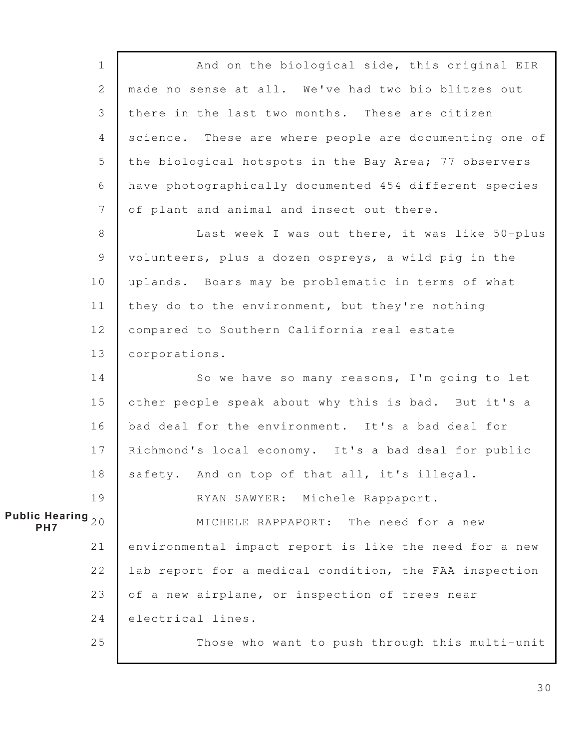1 | And on the biological side, this original EIR 2 made no sense at all. We've had two bio blitzes out 3 there in the last two months. These are citizen 4 science. These are where people are documenting one of 5 the biological hotspots in the Bay Area; 77 observers 6 have photographically documented 454 different species 7 of plant and animal and insect out there. 8 Last week I was out there, it was like 50-plus 9 volunteers, plus a dozen ospreys, a wild pig in the 10 uplands. Boars may be problematic in terms of what 11 they do to the environment, but they're nothing 12 compared to Southern California real estate 13 corporations. 14 So we have so many reasons, I'm going to let 15 other people speak about why this is bad. But it's a 16 bad deal for the environment. It's a bad deal for 17 Richmond's local economy. It's a bad deal for public 18 safety. And on top of that all, it's illegal. 19 RYAN SAWYER: Michele Rappaport. MICHELE RAPPAPORT: The need for a new 21 environmental impact report is like the need for a new 22 lab report for a medical condition, the FAA inspection 23 of a new airplane, or inspection of trees near 24 electrical lines. 25 Those who want to push through this multi-unit **Public Hearing**<sub>20</sub>

**PH7**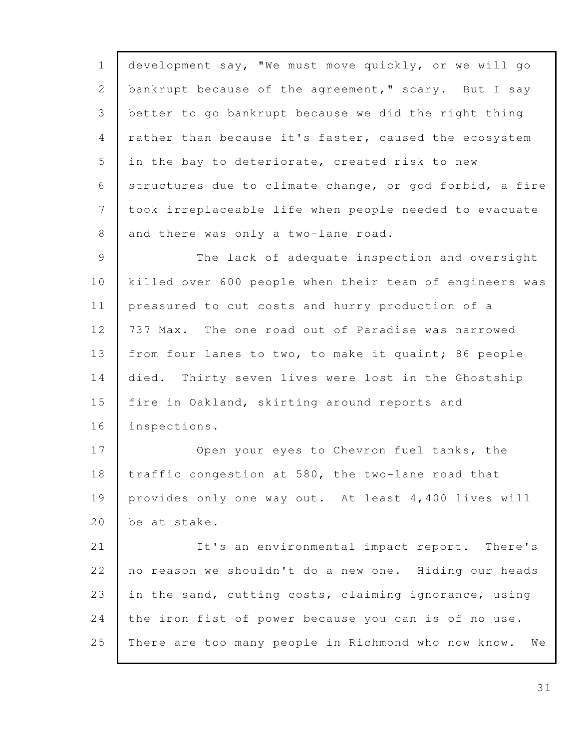1 development say, "We must move quickly, or we will go 2 | bankrupt because of the agreement," scary. But I say 3 better to go bankrupt because we did the right thing 4 rather than because it's faster, caused the ecosystem 5 in the bay to deteriorate, created risk to new 6 structures due to climate change, or god forbid, a fire 7 took irreplaceable life when people needed to evacuate 8 and there was only a two-lane road. 9 The lack of adequate inspection and oversight 10 killed over 600 people when their team of engineers was 11 pressured to cut costs and hurry production of a 12 737 Max. The one road out of Paradise was narrowed 13 from four lanes to two, to make it quaint; 86 people 14 died. Thirty seven lives were lost in the Ghostship 15 fire in Oakland, skirting around reports and 16 inspections. 17 Open your eyes to Chevron fuel tanks, the 18 | traffic congestion at 580, the two-lane road that 19 provides only one way out. At least 4,400 lives will 20 be at stake. 21 It's an environmental impact report. There's 22 no reason we shouldn't do a new one. Hiding our heads 23 in the sand, cutting costs, claiming ignorance, using 24 the iron fist of power because you can is of no use. 25 There are too many people in Richmond who now know. We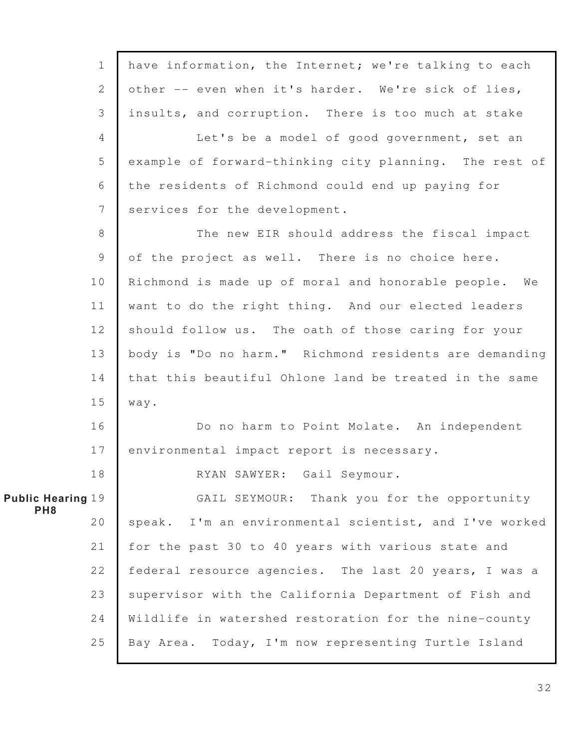|                                             | $\mathbf 1$     | have information, the Internet; we're talking to each  |
|---------------------------------------------|-----------------|--------------------------------------------------------|
|                                             | $\mathbf{2}$    | other -- even when it's harder. We're sick of lies,    |
|                                             | 3               | insults, and corruption. There is too much at stake    |
|                                             | $\overline{4}$  | Let's be a model of good government, set an            |
|                                             | 5               | example of forward-thinking city planning. The rest of |
|                                             | 6               | the residents of Richmond could end up paying for      |
|                                             | $7\phantom{.0}$ | services for the development.                          |
|                                             | 8               | The new EIR should address the fiscal impact           |
|                                             | 9               | of the project as well. There is no choice here.       |
|                                             | 10              | Richmond is made up of moral and honorable people. We  |
|                                             | 11              | want to do the right thing. And our elected leaders    |
|                                             | 12              | should follow us. The oath of those caring for your    |
|                                             | 13              | body is "Do no harm." Richmond residents are demanding |
|                                             | 14              | that this beautiful Ohlone land be treated in the same |
|                                             | 15              | way.                                                   |
|                                             | 16              | Do no harm to Point Molate. An independent             |
|                                             | 17              | environmental impact report is necessary.              |
|                                             | 18              | RYAN SAWYER: Gail Seymour.                             |
| <b>Public Hearing 19</b><br>PH <sub>8</sub> |                 | GAIL SEYMOUR: Thank you for the opportunity            |
|                                             | 20              | speak. I'm an environmental scientist, and I've worked |
|                                             | 21              | for the past 30 to 40 years with various state and     |
|                                             | 22              | federal resource agencies. The last 20 years, I was a  |
|                                             | 23              | supervisor with the California Department of Fish and  |
|                                             | 24              | Wildlife in watershed restoration for the nine-county  |
|                                             | 25              | Today, I'm now representing Turtle Island<br>Bay Area. |
|                                             |                 |                                                        |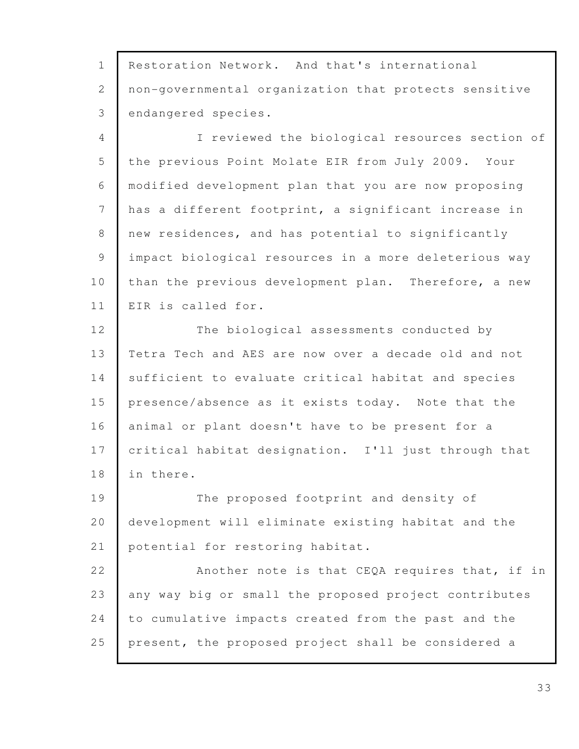1 Restoration Network. And that's international 2 non-governmental organization that protects sensitive 3 endangered species. 4 I reviewed the biological resources section of 5 the previous Point Molate EIR from July 2009. Your 6 modified development plan that you are now proposing 7 has a different footprint, a significant increase in 8 new residences, and has potential to significantly 9 impact biological resources in a more deleterious way 10 than the previous development plan. Therefore, a new 11 EIR is called for. 12 The biological assessments conducted by 13 Tetra Tech and AES are now over a decade old and not 14 sufficient to evaluate critical habitat and species 15 presence/absence as it exists today. Note that the 16 animal or plant doesn't have to be present for a 17 critical habitat designation. I'll just through that 18 in there. 19 The proposed footprint and density of 20 development will eliminate existing habitat and the 21 | potential for restoring habitat. 22 Another note is that CEQA requires that, if in 23 any way big or small the proposed project contributes 24 to cumulative impacts created from the past and the 25 present, the proposed project shall be considered a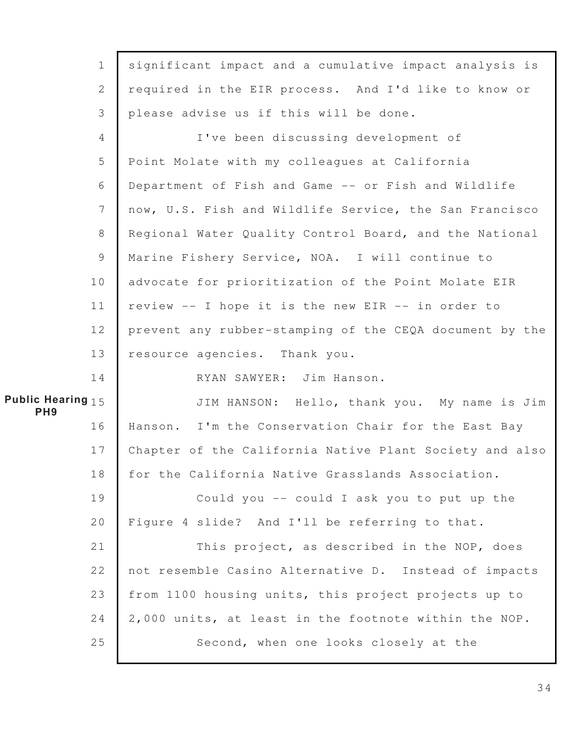| $\mathbf 1$           | significant impact and a cumulative impact analysis is  |
|-----------------------|---------------------------------------------------------|
| 2                     | required in the EIR process. And I'd like to know or    |
| 3                     | please advise us if this will be done.                  |
| $\overline{4}$        | I've been discussing development of                     |
| 5                     | Point Molate with my colleagues at California           |
| 6                     | Department of Fish and Game -- or Fish and Wildlife     |
| 7                     | now, U.S. Fish and Wildlife Service, the San Francisco  |
| 8                     | Regional Water Quality Control Board, and the National  |
| 9                     | Marine Fishery Service, NOA. I will continue to         |
| 10                    | advocate for prioritization of the Point Molate EIR     |
| 11                    | review -- I hope it is the new EIR -- in order to       |
| 12                    | prevent any rubber-stamping of the CEQA document by the |
| 13                    | resource agencies. Thank you.                           |
| 14                    | RYAN SAWYER: Jim Hanson.                                |
| Public Hearing $15$   | JIM HANSON: Hello, thank you. My name is Jim            |
| PH <sub>9</sub><br>16 | Hanson. I'm the Conservation Chair for the East Bay     |
| 17                    | Chapter of the California Native Plant Society and also |
| 18                    | for the California Native Grasslands Association.       |
| 19                    | Could you -- could I ask you to put up the              |
| 20                    | Figure 4 slide? And I'll be referring to that.          |
| 21                    | This project, as described in the NOP, does             |
| 22                    | not resemble Casino Alternative D. Instead of impacts   |
| 23                    | from 1100 housing units, this project projects up to    |
| 24                    | 2,000 units, at least in the footnote within the NOP.   |
| 25                    | Second, when one looks closely at the                   |
|                       |                                                         |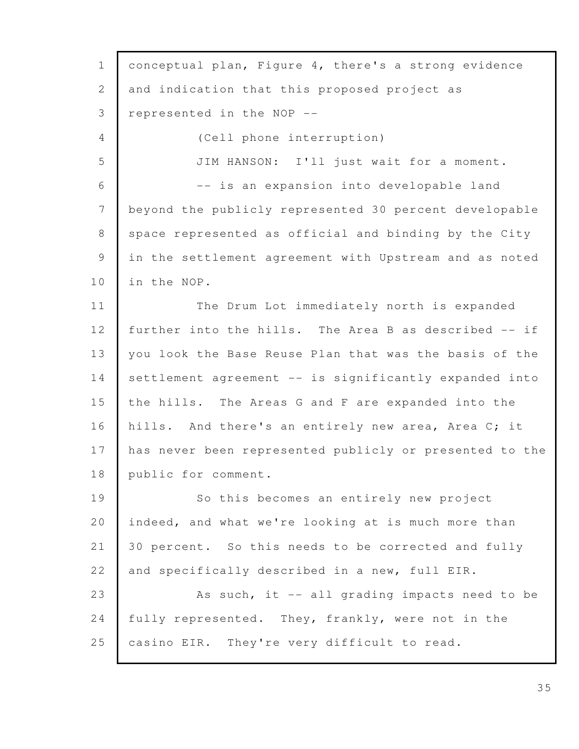1 conceptual plan, Figure 4, there's a strong evidence 2 and indication that this proposed project as 3 represented in the NOP -- 4 (Cell phone interruption) 5 JIM HANSON: I'll just wait for a moment. 6 -- is an expansion into developable land 7 beyond the publicly represented 30 percent developable 8 space represented as official and binding by the City 9 in the settlement agreement with Upstream and as noted 10 in the NOP. 11 The Drum Lot immediately north is expanded 12 further into the hills. The Area B as described -- if 13 you look the Base Reuse Plan that was the basis of the 14 settlement agreement -- is significantly expanded into 15 the hills. The Areas G and F are expanded into the 16 | hills. And there's an entirely new area, Area C; it 17 has never been represented publicly or presented to the 18 public for comment. 19 So this becomes an entirely new project 20 indeed, and what we're looking at is much more than 21 30 percent. So this needs to be corrected and fully 22 and specifically described in a new, full EIR. 23 As such, it -- all grading impacts need to be 24 fully represented. They, frankly, were not in the 25 casino EIR. They're very difficult to read.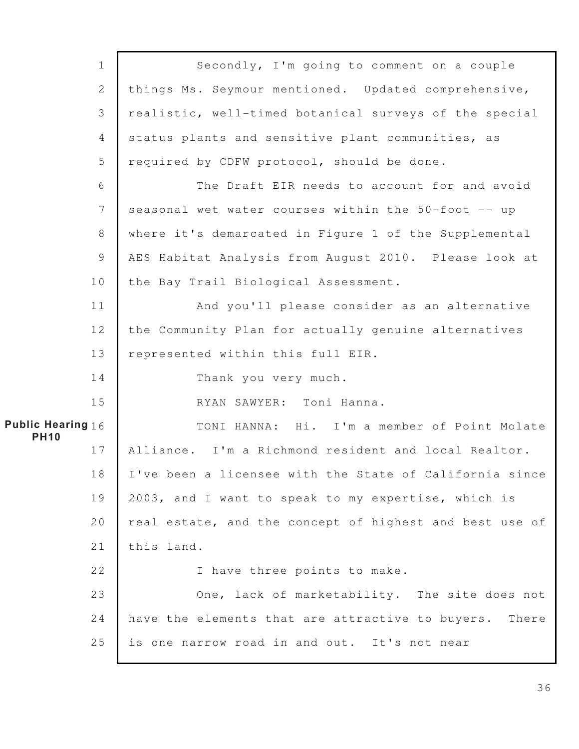| $\mathbf{1}$                            | Secondly, I'm going to comment on a couple                |
|-----------------------------------------|-----------------------------------------------------------|
| 2                                       | things Ms. Seymour mentioned. Updated comprehensive,      |
| 3                                       | realistic, well-timed botanical surveys of the special    |
| 4                                       | status plants and sensitive plant communities, as         |
| 5                                       | required by CDFW protocol, should be done.                |
| 6                                       | The Draft EIR needs to account for and avoid              |
| $7\overline{ }$                         | seasonal wet water courses within the 50-foot -- up       |
| 8                                       | where it's demarcated in Figure 1 of the Supplemental     |
| 9                                       | AES Habitat Analysis from August 2010. Please look at     |
| 10                                      | the Bay Trail Biological Assessment.                      |
| 11                                      | And you'll please consider as an alternative              |
| 12                                      | the Community Plan for actually genuine alternatives      |
| 13                                      | represented within this full EIR.                         |
| 14                                      | Thank you very much.                                      |
| 15                                      | RYAN SAWYER: Toni Hanna.                                  |
| <b>Public Hearing 16</b><br><b>PH10</b> | TONI HANNA: Hi. I'm a member of Point Molate              |
| 17                                      | Alliance. I'm a Richmond resident and local Realtor.      |
| 18                                      | I've been a licensee with the State of California since   |
| 19                                      | 2003, and I want to speak to my expertise, which is       |
| 20                                      | real estate, and the concept of highest and best use of   |
| 21                                      | this land.                                                |
| 22                                      | I have three points to make.                              |
| 23                                      | One, lack of marketability. The site does not             |
| 24                                      | have the elements that are attractive to buyers.<br>There |
| 25                                      | is one narrow road in and out. It's not near              |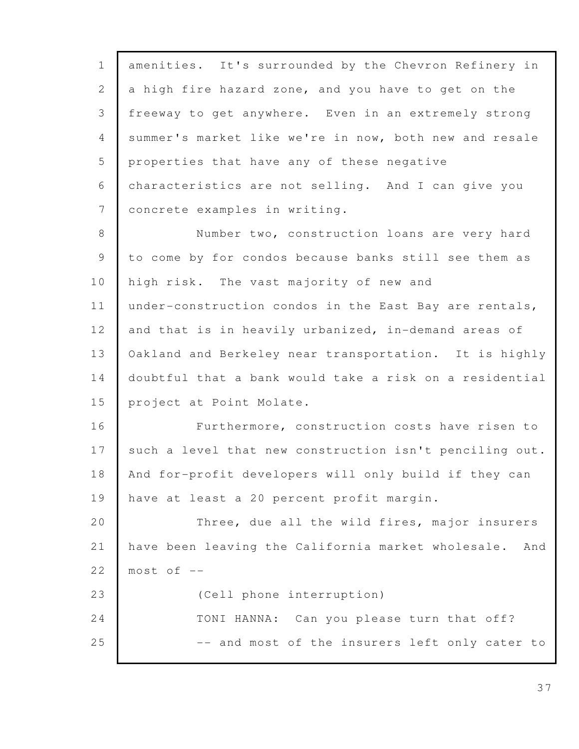1 amenities. It's surrounded by the Chevron Refinery in 2 a high fire hazard zone, and you have to get on the 3 freeway to get anywhere. Even in an extremely strong 4 summer's market like we're in now, both new and resale 5 properties that have any of these negative 6 characteristics are not selling. And I can give you 7 | concrete examples in writing. 8 Number two, construction loans are very hard 9 to come by for condos because banks still see them as 10 high risk. The vast majority of new and 11 under-construction condos in the East Bay are rentals, 12 and that is in heavily urbanized, in-demand areas of 13 Oakland and Berkeley near transportation. It is highly 14 doubtful that a bank would take a risk on a residential 15 project at Point Molate. 16 Furthermore, construction costs have risen to 17 such a level that new construction isn't penciling out. 18 And for-profit developers will only build if they can 19 have at least a 20 percent profit margin. 20 Three, due all the wild fires, major insurers 21 have been leaving the California market wholesale. And 22  $|$  most of  $-$ 23 (Cell phone interruption) 24 TONI HANNA: Can you please turn that off? 25 -- and most of the insurers left only cater to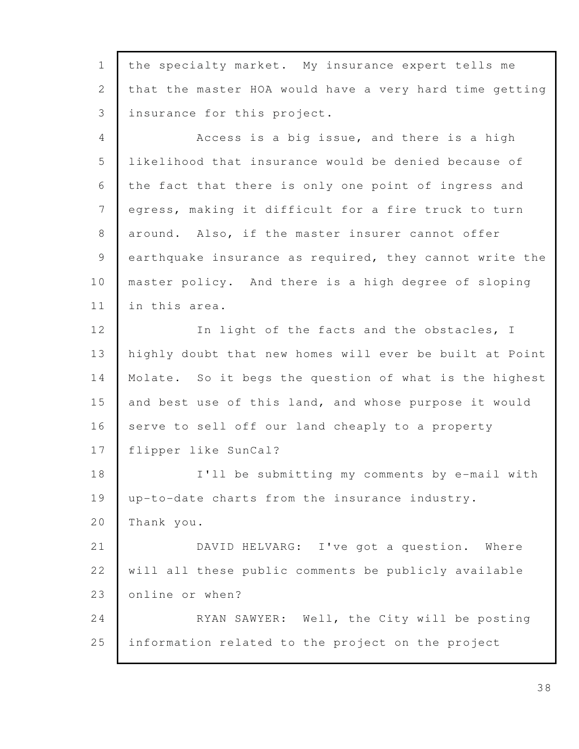1 the specialty market. My insurance expert tells me 2 that the master HOA would have a very hard time getting 3 insurance for this project. 4 **Access is a big issue, and there is a high**  5 likelihood that insurance would be denied because of 6 the fact that there is only one point of ingress and 7 egress, making it difficult for a fire truck to turn 8 around. Also, if the master insurer cannot offer 9 earthquake insurance as required, they cannot write the 10 master policy. And there is a high degree of sloping 11 in this area. 12 In light of the facts and the obstacles, I 13 highly doubt that new homes will ever be built at Point 14 Molate. So it begs the question of what is the highest 15 and best use of this land, and whose purpose it would 16 serve to sell off our land cheaply to a property 17 flipper like SunCal? 18 I'll be submitting my comments by e-mail with 19 up-to-date charts from the insurance industry. 20 Thank you. 21 DAVID HELVARG: I've got a question. Where 22 will all these public comments be publicly available 23 online or when? 24 RYAN SAWYER: Well, the City will be posting 25 information related to the project on the project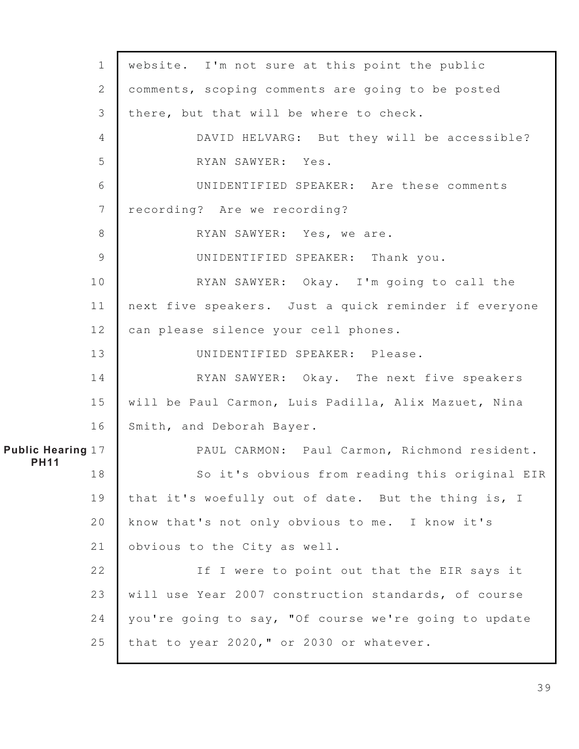|                                         | $\mathbf 1$     | website. I'm not sure at this point the public        |
|-----------------------------------------|-----------------|-------------------------------------------------------|
|                                         | $\mathbf{2}$    | comments, scoping comments are going to be posted     |
|                                         | 3               | there, but that will be where to check.               |
|                                         | 4               | DAVID HELVARG: But they will be accessible?           |
|                                         | 5               | RYAN SAWYER: Yes.                                     |
|                                         | 6               | UNIDENTIFIED SPEAKER: Are these comments              |
|                                         | $7\overline{ }$ | recording? Are we recording?                          |
|                                         | 8               | RYAN SAWYER: Yes, we are.                             |
|                                         | 9               | UNIDENTIFIED SPEAKER: Thank you.                      |
|                                         | 10              | RYAN SAWYER: Okay. I'm going to call the              |
|                                         | 11              | next five speakers. Just a quick reminder if everyone |
|                                         | 12              | can please silence your cell phones.                  |
|                                         | 13              | UNIDENTIFIED SPEAKER: Please.                         |
|                                         | 14              | RYAN SAWYER: Okay. The next five speakers             |
|                                         | 15              | will be Paul Carmon, Luis Padilla, Alix Mazuet, Nina  |
|                                         | 16              | Smith, and Deborah Bayer.                             |
| <b>Public Hearing 17</b><br><b>PH11</b> |                 | PAUL CARMON: Paul Carmon, Richmond resident.          |
|                                         | 18              | So it's obvious from reading this original EIR        |
|                                         | 19              | that it's woefully out of date. But the thing is, I   |
|                                         | 20              | know that's not only obvious to me. I know it's       |
|                                         | 21              | obvious to the City as well.                          |
|                                         | 22              | If I were to point out that the EIR says it           |
|                                         | 23              | will use Year 2007 construction standards, of course  |
|                                         | 24              | you're going to say, "Of course we're going to update |
|                                         | 25              | that to year 2020," or 2030 or whatever.              |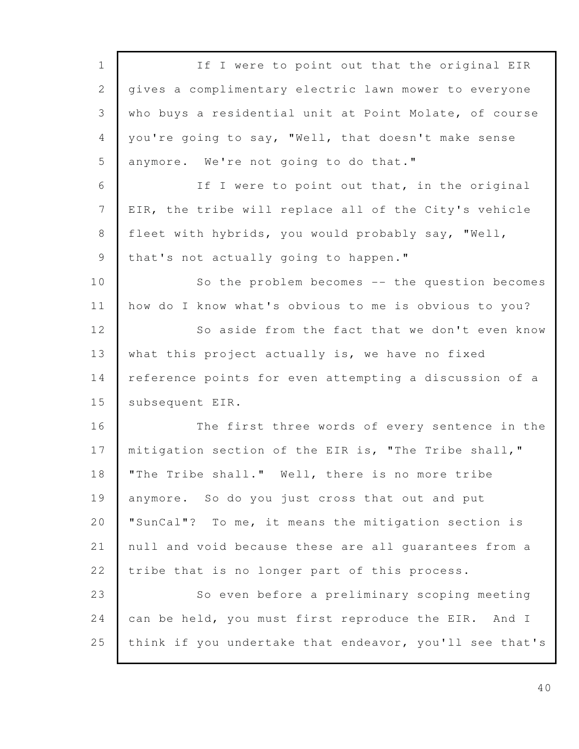1 I I I were to point out that the original EIR 2 | gives a complimentary electric lawn mower to everyone 3 | who buys a residential unit at Point Molate, of course 4 you're going to say, "Well, that doesn't make sense 5 anymore. We're not going to do that." 6 If I were to point out that, in the original 7 | EIR, the tribe will replace all of the City's vehicle 8 | fleet with hybrids, you would probably say, "Well, 9 that's not actually going to happen." 10 So the problem becomes -- the question becomes 11 how do I know what's obvious to me is obvious to you? 12 So aside from the fact that we don't even know 13 what this project actually is, we have no fixed 14 reference points for even attempting a discussion of a 15 | subsequent EIR. 16 The first three words of every sentence in the 17 mitigation section of the EIR is, "The Tribe shall," 18 | "The Tribe shall." Well, there is no more tribe 19 anymore. So do you just cross that out and put 20 "SunCal"? To me, it means the mitigation section is 21 | null and void because these are all quarantees from a 22 tribe that is no longer part of this process. 23 So even before a preliminary scoping meeting 24 can be held, you must first reproduce the EIR. And I 25 think if you undertake that endeavor, you'll see that's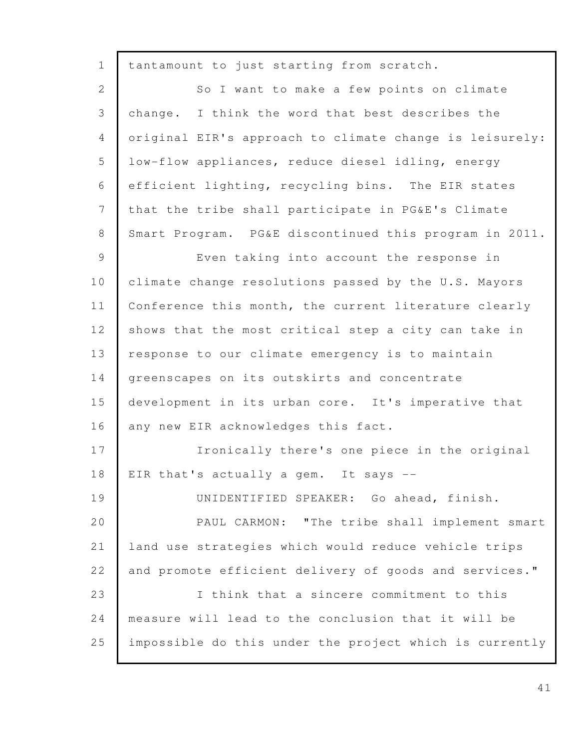| $\mathbf 1$    | tantamount to just starting from scratch.               |
|----------------|---------------------------------------------------------|
| $\mathbf{2}$   | So I want to make a few points on climate               |
| 3              | change. I think the word that best describes the        |
| 4              | original EIR's approach to climate change is leisurely: |
| 5              | low-flow appliances, reduce diesel idling, energy       |
| 6              | efficient lighting, recycling bins. The EIR states      |
| 7              | that the tribe shall participate in PG&E's Climate      |
| 8              | Smart Program. PG&E discontinued this program in 2011.  |
| $\overline{9}$ | Even taking into account the response in                |
| 10             | climate change resolutions passed by the U.S. Mayors    |
| 11             | Conference this month, the current literature clearly   |
| 12             | shows that the most critical step a city can take in    |
| 13             | response to our climate emergency is to maintain        |
| 14             | greenscapes on its outskirts and concentrate            |
| 15             | development in its urban core. It's imperative that     |
| 16             | any new EIR acknowledges this fact.                     |
| 17             | Ironically there's one piece in the original            |
| 18             | EIR that's actually a gem. It says --                   |
| 19             | UNIDENTIFIED SPEAKER: Go ahead, finish.                 |
| 20             | PAUL CARMON: "The tribe shall implement smart           |
| 21             | land use strategies which would reduce vehicle trips    |
| 22             | and promote efficient delivery of goods and services."  |
| 23             | I think that a sincere commitment to this               |
| 24             | measure will lead to the conclusion that it will be     |
| 25             | impossible do this under the project which is currently |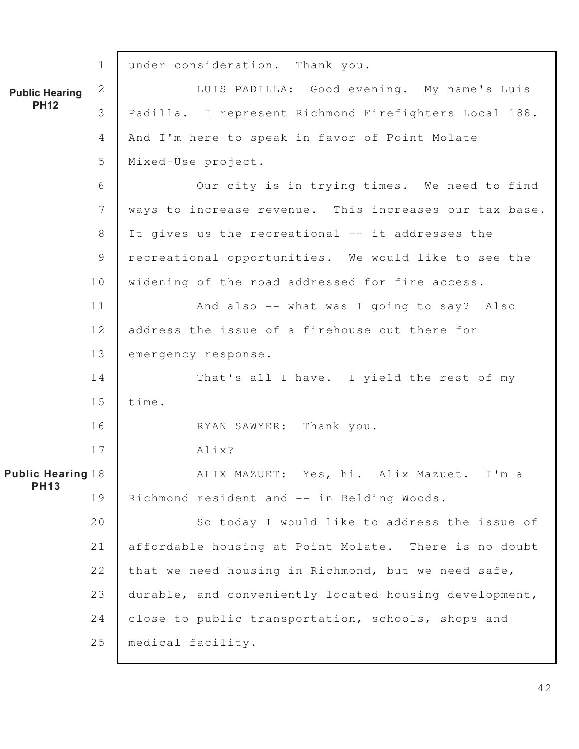|                                         | $\mathbf 1$     | under consideration. Thank you.                        |
|-----------------------------------------|-----------------|--------------------------------------------------------|
| <b>Public Hearing</b>                   | 2               | LUIS PADILLA: Good evening. My name's Luis             |
| <b>PH12</b>                             | 3               | Padilla. I represent Richmond Firefighters Local 188.  |
|                                         | 4               | And I'm here to speak in favor of Point Molate         |
|                                         | 5               | Mixed-Use project.                                     |
|                                         | 6               | Our city is in trying times. We need to find           |
|                                         | $7\phantom{.0}$ | ways to increase revenue. This increases our tax base. |
|                                         | 8               | It gives us the recreational -- it addresses the       |
|                                         | 9               | recreational opportunities. We would like to see the   |
|                                         | 10              | widening of the road addressed for fire access.        |
|                                         | 11              | And also -- what was I going to say? Also              |
|                                         | 12              | address the issue of a firehouse out there for         |
|                                         | 13              | emergency response.                                    |
|                                         | 14              | That's all I have. I yield the rest of my              |
|                                         | 15              | time.                                                  |
|                                         | 16              | RYAN SAWYER: Thank you.                                |
|                                         | 17              | Alix?                                                  |
| <b>Public Hearing 18</b><br><b>PH13</b> |                 | ALIX MAZUET: Yes, hi. Alix Mazuet. I'm a               |
|                                         | 19              | Richmond resident and -- in Belding Woods.             |
|                                         | 20              | So today I would like to address the issue of          |
|                                         | 21              | affordable housing at Point Molate. There is no doubt  |
|                                         | 22              | that we need housing in Richmond, but we need safe,    |
|                                         | 23              | durable, and conveniently located housing development, |
|                                         | 24              | close to public transportation, schools, shops and     |
|                                         | 25              | medical facility.                                      |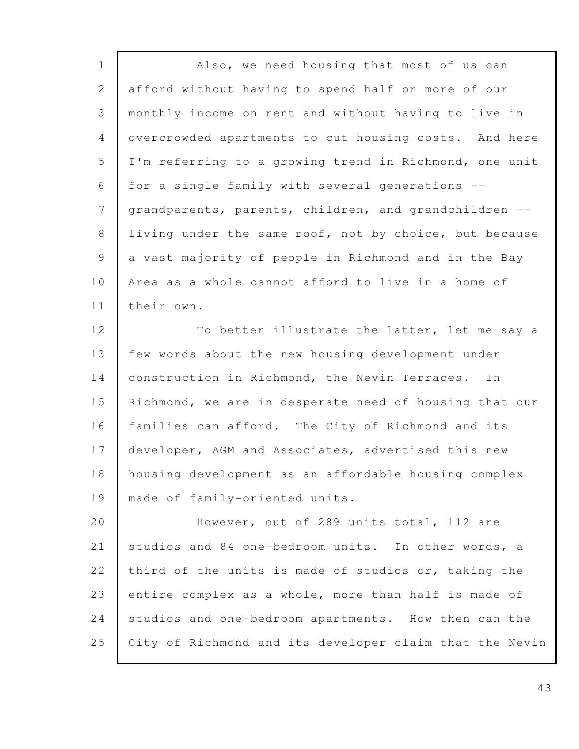| $\mathbf 1$     | Also, we need housing that most of us can               |
|-----------------|---------------------------------------------------------|
| 2               | afford without having to spend half or more of our      |
| 3               | monthly income on rent and without having to live in    |
| 4               | overcrowded apartments to cut housing costs. And here   |
| 5               | I'm referring to a growing trend in Richmond, one unit  |
| 6               | for a single family with several generations --         |
| $7\phantom{.0}$ | grandparents, parents, children, and grandchildren --   |
| 8               | living under the same roof, not by choice, but because  |
| 9               | a vast majority of people in Richmond and in the Bay    |
| 10              | Area as a whole cannot afford to live in a home of      |
| 11              | their own.                                              |
| 12              | To better illustrate the latter, let me say a           |
| 13              | few words about the new housing development under       |
| 14              | construction in Richmond, the Nevin Terraces.<br>In     |
| 15              | Richmond, we are in desperate need of housing that our  |
| 16              | families can afford. The City of Richmond and its       |
| 17              | developer, AGM and Associates, advertised this new      |
| 18              | housing development as an affordable housing complex    |
| 19              | made of family-oriented units.                          |
| 20              | However, out of 289 units total, 112 are                |
| 21              | studios and 84 one-bedroom units. In other words, a     |
| 22              | third of the units is made of studios or, taking the    |
| 23              | entire complex as a whole, more than half is made of    |
| 24              | studios and one-bedroom apartments. How then can the    |
| 25              | City of Richmond and its developer claim that the Nevin |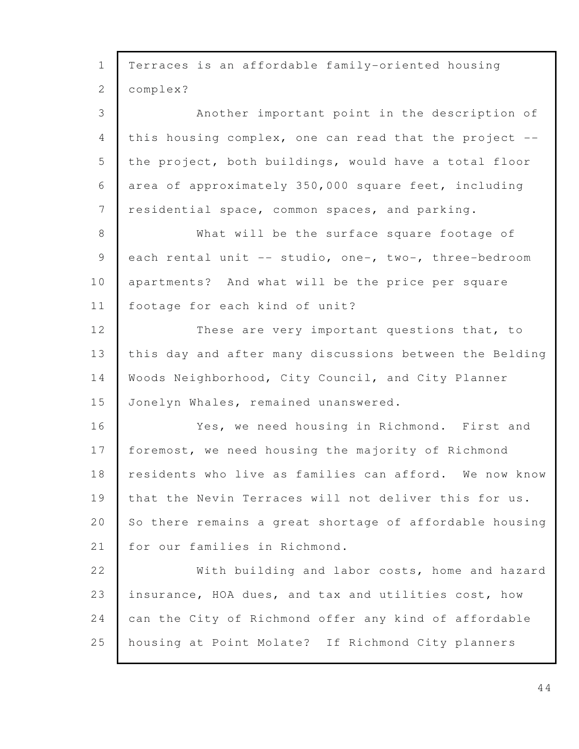| $\mathbf 1$    | Terraces is an affordable family-oriented housing       |
|----------------|---------------------------------------------------------|
| $\mathbf{2}$   | complex?                                                |
| 3              | Another important point in the description of           |
| 4              | this housing complex, one can read that the project --  |
| 5              | the project, both buildings, would have a total floor   |
| 6              | area of approximately 350,000 square feet, including    |
| $7\phantom{.}$ | residential space, common spaces, and parking.          |
| 8              | What will be the surface square footage of              |
| $\mathcal{G}$  | each rental unit -- studio, one-, two-, three-bedroom   |
| 10             | apartments? And what will be the price per square       |
| 11             | footage for each kind of unit?                          |
| 12             | These are very important questions that, to             |
| 13             | this day and after many discussions between the Belding |
| 14             | Woods Neighborhood, City Council, and City Planner      |
| 15             | Jonelyn Whales, remained unanswered.                    |
| 16             | Yes, we need housing in Richmond. First and             |
| 17             | foremost, we need housing the majority of Richmond      |
| 18             | residents who live as families can afford. We now know  |
| 19             | that the Nevin Terraces will not deliver this for us.   |
| 20             | So there remains a great shortage of affordable housing |
| 21             | for our families in Richmond.                           |
| 22             | With building and labor costs, home and hazard          |
| 23             | insurance, HOA dues, and tax and utilities cost, how    |
| 24             | can the City of Richmond offer any kind of affordable   |
| 25             | housing at Point Molate? If Richmond City planners      |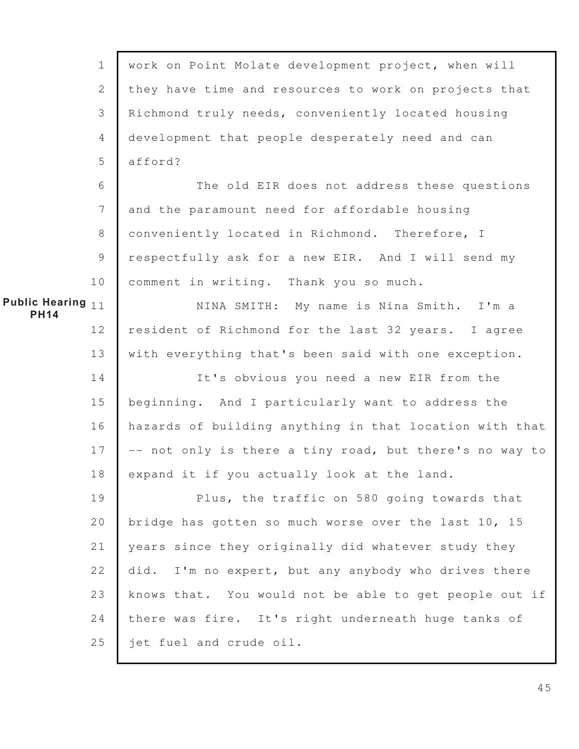|                                  | $\mathbf{1}$ | work on Point Molate development project, when will     |
|----------------------------------|--------------|---------------------------------------------------------|
|                                  | $\mathbf{2}$ | they have time and resources to work on projects that   |
|                                  | 3            | Richmond truly needs, conveniently located housing      |
|                                  | 4            | development that people desperately need and can        |
|                                  | 5            | afford?                                                 |
|                                  | 6            | The old EIR does not address these questions            |
|                                  | 7            | and the paramount need for affordable housing           |
|                                  | 8            | conveniently located in Richmond. Therefore, I          |
|                                  | 9            | respectfully ask for a new EIR. And I will send my      |
|                                  | 10           | comment in writing. Thank you so much.                  |
| Public Hearing 11<br><b>PH14</b> |              | NINA SMITH: My name is Nina Smith. I'm a                |
|                                  | 12           | resident of Richmond for the last 32 years. I agree     |
|                                  | 13           | with everything that's been said with one exception.    |
|                                  | 14           | It's obvious you need a new EIR from the                |
|                                  | 15           | beginning. And I particularly want to address the       |
|                                  | 16           | hazards of building anything in that location with that |
|                                  | 17           | -- not only is there a tiny road, but there's no way to |
|                                  | 18           | expand it if you actually look at the land.             |
|                                  | 19           | Plus, the traffic on 580 going towards that             |
|                                  | 20           | bridge has gotten so much worse over the last 10, 15    |
|                                  | 21           | years since they originally did whatever study they     |
|                                  | 22           | I'm no expert, but any anybody who drives there<br>did. |
|                                  | 23           | knows that. You would not be able to get people out if  |
|                                  | 24           | there was fire. It's right underneath huge tanks of     |
|                                  | 25           | jet fuel and crude oil.                                 |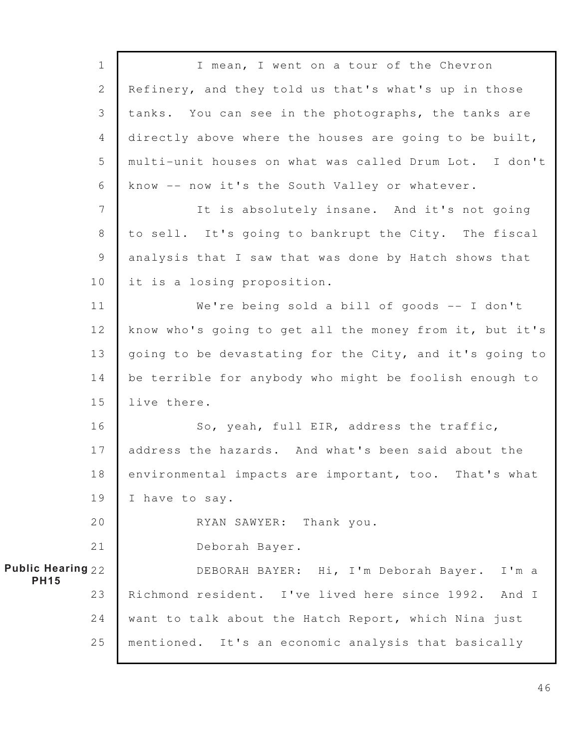1 I mean, I went on a tour of the Chevron 2 Refinery, and they told us that's what's up in those 3 tanks. You can see in the photographs, the tanks are 4 directly above where the houses are going to be built, 5 multi-unit houses on what was called Drum Lot. I don't 6 know -- now it's the South Valley or whatever. 7 It is absolutely insane. And it's not going 8 to sell. It's going to bankrupt the City. The fiscal 9 analysis that I saw that was done by Hatch shows that 10 it is a losing proposition. 11 We're being sold a bill of goods -- I don't 12 know who's going to get all the money from it, but it's 13 | going to be devastating for the City, and it's going to 14 be terrible for anybody who might be foolish enough to 15 live there. 16 So, yeah, full EIR, address the traffic, 17 address the hazards. And what's been said about the 18 environmental impacts are important, too. That's what 19 | I have to say. 20 RYAN SAWYER: Thank you. 21 Deborah Bayer. DEBORAH BAYER: Hi, I'm Deborah Bayer. I'm a 23 | Richmond resident. I've lived here since 1992. And I 24 want to talk about the Hatch Report, which Nina just 25 mentioned. It's an economic analysis that basically **Public Hearing** 22

**PH15**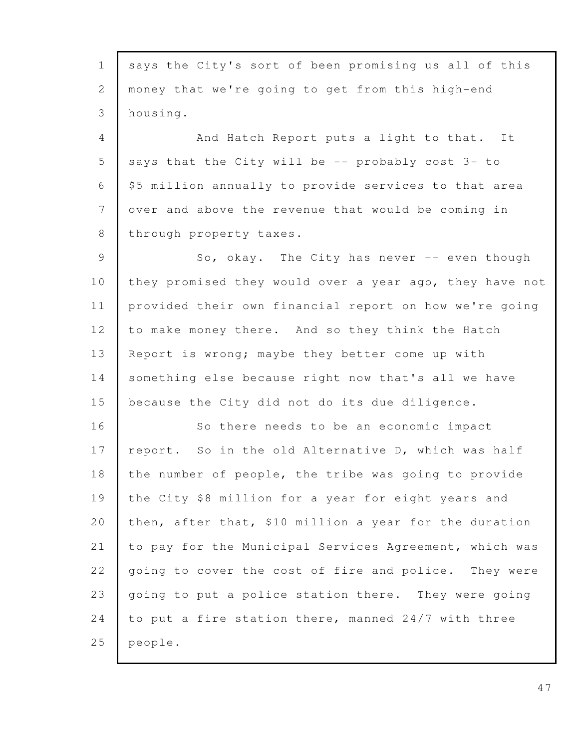| $\mathbf 1$    | says the City's sort of been promising us all of this   |
|----------------|---------------------------------------------------------|
| $\mathbf{2}$   | money that we're going to get from this high-end        |
| 3              | housing.                                                |
| $\overline{4}$ | And Hatch Report puts a light to that. It               |
| 5              | says that the City will be -- probably cost 3- to       |
| 6              | \$5 million annually to provide services to that area   |
| $7\phantom{.}$ | over and above the revenue that would be coming in      |
| 8              | through property taxes.                                 |
| $\overline{9}$ | So, okay. The City has never -- even though             |
| 10             | they promised they would over a year ago, they have not |
| 11             | provided their own financial report on how we're going  |
| 12             | to make money there. And so they think the Hatch        |
| 13             | Report is wrong; maybe they better come up with         |
| 14             | something else because right now that's all we have     |
| 15             | because the City did not do its due diligence.          |
| 16             | So there needs to be an economic impact                 |
| 17             | report. So in the old Alternative D, which was half     |
| 18             | the number of people, the tribe was going to provide    |
| 19             | the City \$8 million for a year for eight years and     |
| 20             | then, after that, \$10 million a year for the duration  |
| 21             | to pay for the Municipal Services Agreement, which was  |
| 22             | going to cover the cost of fire and police. They were   |
| 23             | going to put a police station there. They were going    |
| 24             | to put a fire station there, manned 24/7 with three     |
| 25             | people.                                                 |
|                |                                                         |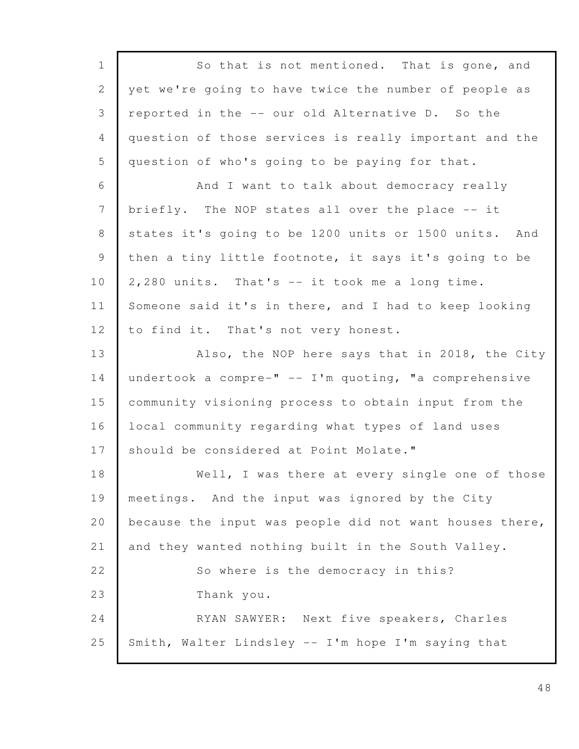| $\mathbf 1$    | So that is not mentioned. That is gone, and             |
|----------------|---------------------------------------------------------|
| $\mathbf{2}$   | yet we're going to have twice the number of people as   |
| 3              | reported in the -- our old Alternative D. So the        |
| $\overline{4}$ | question of those services is really important and the  |
| 5              | question of who's going to be paying for that.          |
| 6              | And I want to talk about democracy really               |
| $\overline{7}$ | briefly. The NOP states all over the place -- it        |
| 8              | states it's going to be 1200 units or 1500 units. And   |
| 9              | then a tiny little footnote, it says it's going to be   |
| 10             | 2,280 units. That's -- it took me a long time.          |
| 11             | Someone said it's in there, and I had to keep looking   |
| 12             | to find it. That's not very honest.                     |
| 13             | Also, the NOP here says that in 2018, the City          |
| 14             | undertook a compre-" -- I'm quoting, "a comprehensive   |
| 15             | community visioning process to obtain input from the    |
| 16             | local community regarding what types of land uses       |
| 17             | should be considered at Point Molate."                  |
| 18             | Well, I was there at every single one of those          |
| 19             | meetings. And the input was ignored by the City         |
| 20             | because the input was people did not want houses there, |
| 21             | and they wanted nothing built in the South Valley.      |
| 22             | So where is the democracy in this?                      |
| 23             | Thank you.                                              |
| 24             | RYAN SAWYER: Next five speakers, Charles                |
| 25             | Smith, Walter Lindsley -- I'm hope I'm saying that      |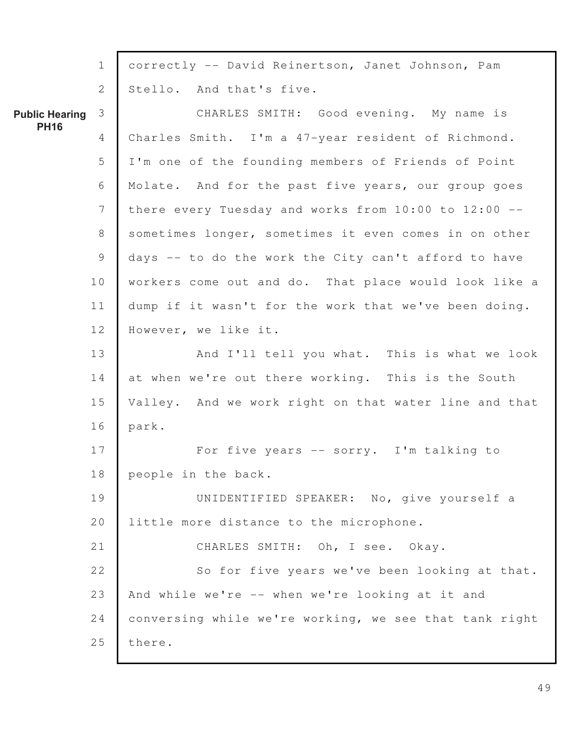| $\mathbf 1$                | correctly -- David Reinertson, Janet Johnson, Pam        |
|----------------------------|----------------------------------------------------------|
| 2                          | Stello. And that's five.                                 |
| 3<br><b>Public Hearing</b> | CHARLES SMITH: Good evening. My name is                  |
| <b>PH16</b><br>4           | Charles Smith. I'm a 47-year resident of Richmond.       |
| 5                          | I'm one of the founding members of Friends of Point      |
| 6                          | Molate. And for the past five years, our group goes      |
| $7\phantom{.0}$            | there every Tuesday and works from $10:00$ to $12:00$ -- |
| 8                          | sometimes longer, sometimes it even comes in on other    |
| 9                          | days -- to do the work the City can't afford to have     |
| 10                         | workers come out and do. That place would look like a    |
| 11                         | dump if it wasn't for the work that we've been doing.    |
| 12                         | However, we like it.                                     |
| 13                         | And I'll tell you what. This is what we look             |
| 14                         | at when we're out there working. This is the South       |
| 15                         | Valley. And we work right on that water line and that    |
| 16                         | park.                                                    |
| 17                         | For five years -- sorry. I'm talking to                  |
| 18                         | people in the back.                                      |
| 19                         | UNIDENTIFIED SPEAKER: No, give yourself a                |
| 20                         | little more distance to the microphone.                  |
| 21                         | CHARLES SMITH: Oh, I see. Okay.                          |
| 22                         | So for five years we've been looking at that.            |
| 23                         | And while we're -- when we're looking at it and          |
| 24                         | conversing while we're working, we see that tank right   |
| 25                         | there.                                                   |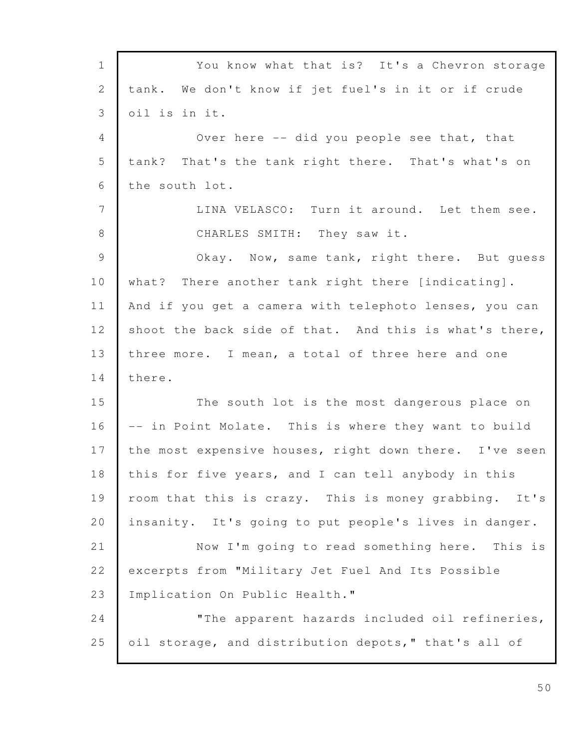| $\mathbf 1$     | You know what that is? It's a Chevron storage          |
|-----------------|--------------------------------------------------------|
| $\mathbf{2}$    | tank. We don't know if jet fuel's in it or if crude    |
| 3               | oil is in it.                                          |
| 4               | Over here -- did you people see that, that             |
| 5               | tank? That's the tank right there. That's what's on    |
| 6               | the south lot.                                         |
| $7\phantom{.0}$ | LINA VELASCO: Turn it around. Let them see.            |
| 8               | CHARLES SMITH: They saw it.                            |
| 9               | Okay. Now, same tank, right there. But guess           |
| 10              | what? There another tank right there [indicating].     |
| 11              | And if you get a camera with telephoto lenses, you can |
| 12              | shoot the back side of that. And this is what's there, |
| 13              | three more. I mean, a total of three here and one      |
| 14              | there.                                                 |
| 15              | The south lot is the most dangerous place on           |
| 16              | -- in Point Molate. This is where they want to build   |
| 17              | the most expensive houses, right down there. I've seen |
| 18              | this for five years, and I can tell anybody in this    |
| 19              | room that this is crazy. This is money grabbing. It's  |
| 20              | insanity. It's going to put people's lives in danger.  |
| 21              | Now I'm going to read something here. This is          |
| 22              | excerpts from "Military Jet Fuel And Its Possible      |
| 23              | Implication On Public Health."                         |
| 24              | "The apparent hazards included oil refineries,         |
| 25              | oil storage, and distribution depots," that's all of   |
|                 |                                                        |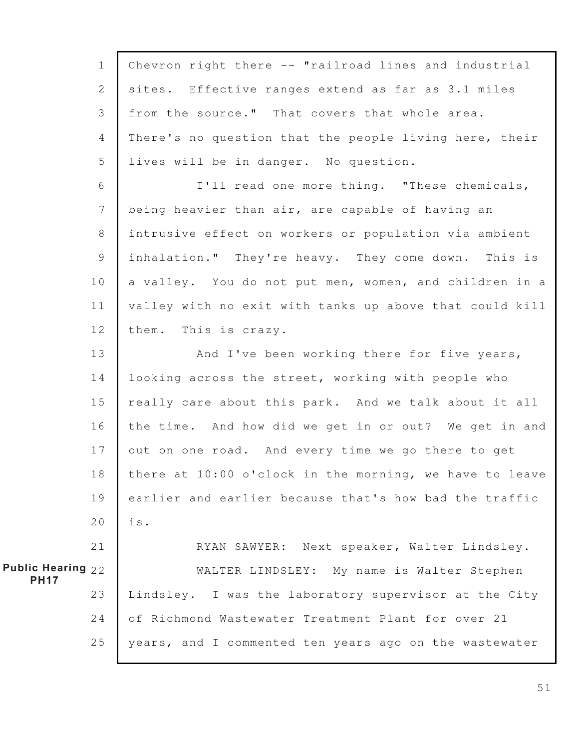1 Chevron right there -- "railroad lines and industrial 2 sites. Effective ranges extend as far as 3.1 miles 3 | from the source." That covers that whole area. 4 There's no question that the people living here, their 5 lives will be in danger. No question. 6 I'll read one more thing. "These chemicals, 7 being heavier than air, are capable of having an 8 intrusive effect on workers or population via ambient 9 inhalation." They're heavy. They come down. This is 10 a valley. You do not put men, women, and children in a 11 valley with no exit with tanks up above that could kill 12 them. This is crazy. 13 And I've been working there for five years, 14 looking across the street, working with people who 15 | really care about this park. And we talk about it all 16 the time. And how did we get in or out? We get in and 17 out on one road. And every time we go there to get 18 there at 10:00 o'clock in the morning, we have to leave 19 earlier and earlier because that's how bad the traffic  $20$  is. 21 RYAN SAWYER: Next speaker, Walter Lindsley. WALTER LINDSLEY: My name is Walter Stephen 23 Lindsley. I was the laboratory supervisor at the City 24 of Richmond Wastewater Treatment Plant for over 21 25 years, and I commented ten years ago on the wastewater **Public Hearing** 22

**PH17**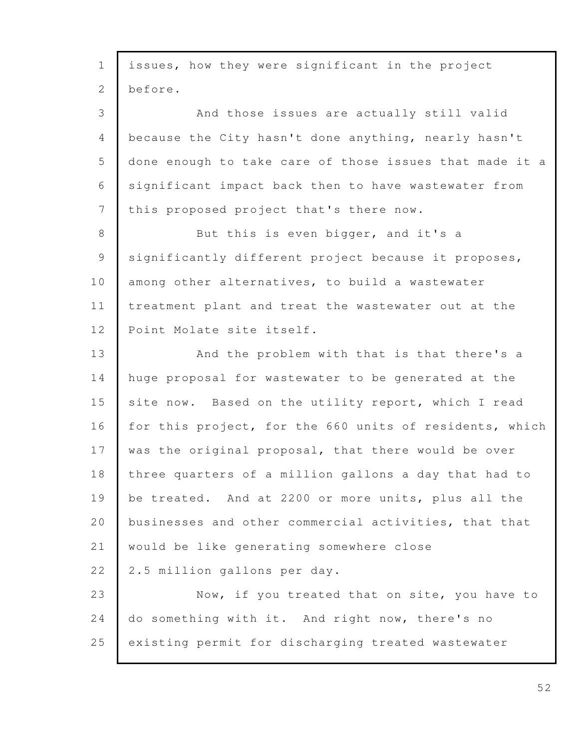| $\mathbf 1$     | issues, how they were significant in the project        |
|-----------------|---------------------------------------------------------|
| $\mathbf{2}$    | before.                                                 |
| 3               | And those issues are actually still valid               |
| 4               | because the City hasn't done anything, nearly hasn't    |
| 5               | done enough to take care of those issues that made it a |
| 6               | significant impact back then to have wastewater from    |
| $7\phantom{.0}$ | this proposed project that's there now.                 |
| 8               | But this is even bigger, and it's a                     |
| 9               | significantly different project because it proposes,    |
| 10              | among other alternatives, to build a wastewater         |
| 11              | treatment plant and treat the wastewater out at the     |
| 12              | Point Molate site itself.                               |
| 13              | And the problem with that is that there's a             |
| 14              | huge proposal for wastewater to be generated at the     |
| 15              | site now. Based on the utility report, which I read     |
| 16              | for this project, for the 660 units of residents, which |
| 17              | was the original proposal, that there would be over     |
| 18              | three quarters of a million gallons a day that had to   |
| 19              | be treated. And at 2200 or more units, plus all the     |
| 20              | businesses and other commercial activities, that that   |
| 21              | would be like generating somewhere close                |
| 22              | 2.5 million gallons per day.                            |
| 23              | Now, if you treated that on site, you have to           |
| 24              | do something with it. And right now, there's no         |
| 25              | existing permit for discharging treated wastewater      |
|                 |                                                         |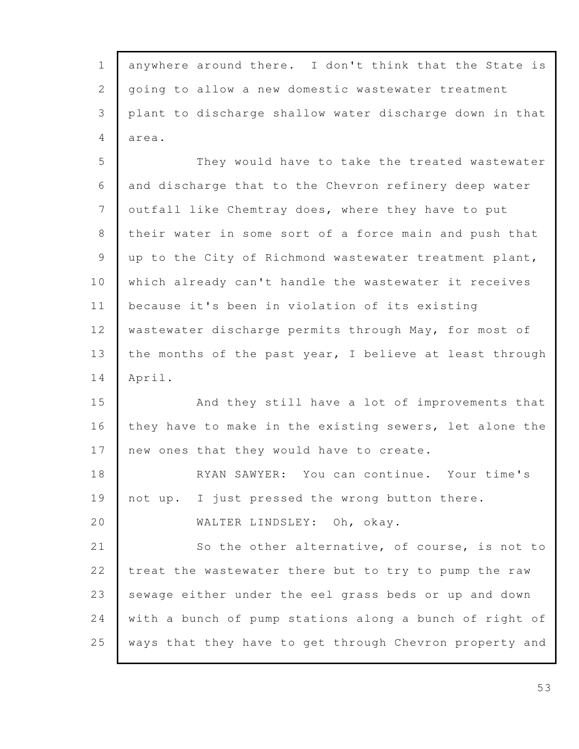| anywhere around there. I don't think that the State is  |
|---------------------------------------------------------|
| going to allow a new domestic wastewater treatment      |
| plant to discharge shallow water discharge down in that |
| area.                                                   |
| They would have to take the treated wastewater          |
| and discharge that to the Chevron refinery deep water   |
| outfall like Chemtray does, where they have to put      |
| their water in some sort of a force main and push that  |
| up to the City of Richmond wastewater treatment plant,  |
| which already can't handle the wastewater it receives   |
| because it's been in violation of its existing          |
| wastewater discharge permits through May, for most of   |
| the months of the past year, I believe at least through |
| April.                                                  |
| And they still have a lot of improvements that          |
| they have to make in the existing sewers, let alone the |
| new ones that they would have to create.                |
| RYAN SAWYER: You can continue. Your time's              |
| not up. I just pressed the wrong button there.          |
| WALTER LINDSLEY: Oh, okay.                              |
| So the other alternative, of course, is not to          |
| treat the wastewater there but to try to pump the raw   |
| sewage either under the eel grass beds or up and down   |
| with a bunch of pump stations along a bunch of right of |
| ways that they have to get through Chevron property and |
|                                                         |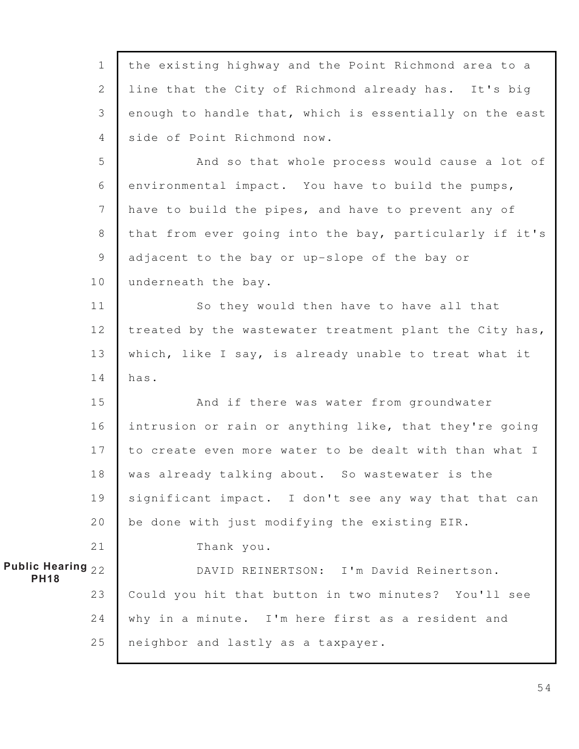| $\mathbf{2}$<br>line that the City of Richmond already has. It's big<br>3<br>enough to handle that, which is essentially on the east<br>side of Point Richmond now.<br>4<br>5<br>And so that whole process would cause a lot of<br>6<br>environmental impact. You have to build the pumps,<br>have to build the pipes, and have to prevent any of<br>7<br>8<br>that from ever going into the bay, particularly if it's<br>9<br>adjacent to the bay or up-slope of the bay or<br>10<br>underneath the bay.<br>11<br>So they would then have to have all that<br>12<br>treated by the wastewater treatment plant the City has,<br>13<br>which, like I say, is already unable to treat what it<br>14<br>has.<br>15<br>And if there was water from groundwater<br>intrusion or rain or anything like, that they're going<br>16<br>17<br>to create even more water to be dealt with than what I<br>was already talking about. So wastewater is the<br>18<br>19<br>significant impact. I don't see any way that that can<br>20<br>be done with just modifying the existing EIR.<br>21<br>Thank you.<br>Public Hearing $22$<br>DAVID REINERTSON: I'm David Reinertson.<br><b>PH18</b><br>23<br>Could you hit that button in two minutes? You'll see<br>24<br>why in a minute. I'm here first as a resident and<br>25<br>neighbor and lastly as a taxpayer. | $\mathbf 1$ | the existing highway and the Point Richmond area to a |
|-----------------------------------------------------------------------------------------------------------------------------------------------------------------------------------------------------------------------------------------------------------------------------------------------------------------------------------------------------------------------------------------------------------------------------------------------------------------------------------------------------------------------------------------------------------------------------------------------------------------------------------------------------------------------------------------------------------------------------------------------------------------------------------------------------------------------------------------------------------------------------------------------------------------------------------------------------------------------------------------------------------------------------------------------------------------------------------------------------------------------------------------------------------------------------------------------------------------------------------------------------------------------------------------------------------------------------------------------------|-------------|-------------------------------------------------------|
|                                                                                                                                                                                                                                                                                                                                                                                                                                                                                                                                                                                                                                                                                                                                                                                                                                                                                                                                                                                                                                                                                                                                                                                                                                                                                                                                                     |             |                                                       |
|                                                                                                                                                                                                                                                                                                                                                                                                                                                                                                                                                                                                                                                                                                                                                                                                                                                                                                                                                                                                                                                                                                                                                                                                                                                                                                                                                     |             |                                                       |
|                                                                                                                                                                                                                                                                                                                                                                                                                                                                                                                                                                                                                                                                                                                                                                                                                                                                                                                                                                                                                                                                                                                                                                                                                                                                                                                                                     |             |                                                       |
|                                                                                                                                                                                                                                                                                                                                                                                                                                                                                                                                                                                                                                                                                                                                                                                                                                                                                                                                                                                                                                                                                                                                                                                                                                                                                                                                                     |             |                                                       |
|                                                                                                                                                                                                                                                                                                                                                                                                                                                                                                                                                                                                                                                                                                                                                                                                                                                                                                                                                                                                                                                                                                                                                                                                                                                                                                                                                     |             |                                                       |
|                                                                                                                                                                                                                                                                                                                                                                                                                                                                                                                                                                                                                                                                                                                                                                                                                                                                                                                                                                                                                                                                                                                                                                                                                                                                                                                                                     |             |                                                       |
|                                                                                                                                                                                                                                                                                                                                                                                                                                                                                                                                                                                                                                                                                                                                                                                                                                                                                                                                                                                                                                                                                                                                                                                                                                                                                                                                                     |             |                                                       |
|                                                                                                                                                                                                                                                                                                                                                                                                                                                                                                                                                                                                                                                                                                                                                                                                                                                                                                                                                                                                                                                                                                                                                                                                                                                                                                                                                     |             |                                                       |
|                                                                                                                                                                                                                                                                                                                                                                                                                                                                                                                                                                                                                                                                                                                                                                                                                                                                                                                                                                                                                                                                                                                                                                                                                                                                                                                                                     |             |                                                       |
|                                                                                                                                                                                                                                                                                                                                                                                                                                                                                                                                                                                                                                                                                                                                                                                                                                                                                                                                                                                                                                                                                                                                                                                                                                                                                                                                                     |             |                                                       |
|                                                                                                                                                                                                                                                                                                                                                                                                                                                                                                                                                                                                                                                                                                                                                                                                                                                                                                                                                                                                                                                                                                                                                                                                                                                                                                                                                     |             |                                                       |
|                                                                                                                                                                                                                                                                                                                                                                                                                                                                                                                                                                                                                                                                                                                                                                                                                                                                                                                                                                                                                                                                                                                                                                                                                                                                                                                                                     |             |                                                       |
|                                                                                                                                                                                                                                                                                                                                                                                                                                                                                                                                                                                                                                                                                                                                                                                                                                                                                                                                                                                                                                                                                                                                                                                                                                                                                                                                                     |             |                                                       |
|                                                                                                                                                                                                                                                                                                                                                                                                                                                                                                                                                                                                                                                                                                                                                                                                                                                                                                                                                                                                                                                                                                                                                                                                                                                                                                                                                     |             |                                                       |
|                                                                                                                                                                                                                                                                                                                                                                                                                                                                                                                                                                                                                                                                                                                                                                                                                                                                                                                                                                                                                                                                                                                                                                                                                                                                                                                                                     |             |                                                       |
|                                                                                                                                                                                                                                                                                                                                                                                                                                                                                                                                                                                                                                                                                                                                                                                                                                                                                                                                                                                                                                                                                                                                                                                                                                                                                                                                                     |             |                                                       |
|                                                                                                                                                                                                                                                                                                                                                                                                                                                                                                                                                                                                                                                                                                                                                                                                                                                                                                                                                                                                                                                                                                                                                                                                                                                                                                                                                     |             |                                                       |
|                                                                                                                                                                                                                                                                                                                                                                                                                                                                                                                                                                                                                                                                                                                                                                                                                                                                                                                                                                                                                                                                                                                                                                                                                                                                                                                                                     |             |                                                       |
|                                                                                                                                                                                                                                                                                                                                                                                                                                                                                                                                                                                                                                                                                                                                                                                                                                                                                                                                                                                                                                                                                                                                                                                                                                                                                                                                                     |             |                                                       |
|                                                                                                                                                                                                                                                                                                                                                                                                                                                                                                                                                                                                                                                                                                                                                                                                                                                                                                                                                                                                                                                                                                                                                                                                                                                                                                                                                     |             |                                                       |
|                                                                                                                                                                                                                                                                                                                                                                                                                                                                                                                                                                                                                                                                                                                                                                                                                                                                                                                                                                                                                                                                                                                                                                                                                                                                                                                                                     |             |                                                       |
|                                                                                                                                                                                                                                                                                                                                                                                                                                                                                                                                                                                                                                                                                                                                                                                                                                                                                                                                                                                                                                                                                                                                                                                                                                                                                                                                                     |             |                                                       |
|                                                                                                                                                                                                                                                                                                                                                                                                                                                                                                                                                                                                                                                                                                                                                                                                                                                                                                                                                                                                                                                                                                                                                                                                                                                                                                                                                     |             |                                                       |
|                                                                                                                                                                                                                                                                                                                                                                                                                                                                                                                                                                                                                                                                                                                                                                                                                                                                                                                                                                                                                                                                                                                                                                                                                                                                                                                                                     |             |                                                       |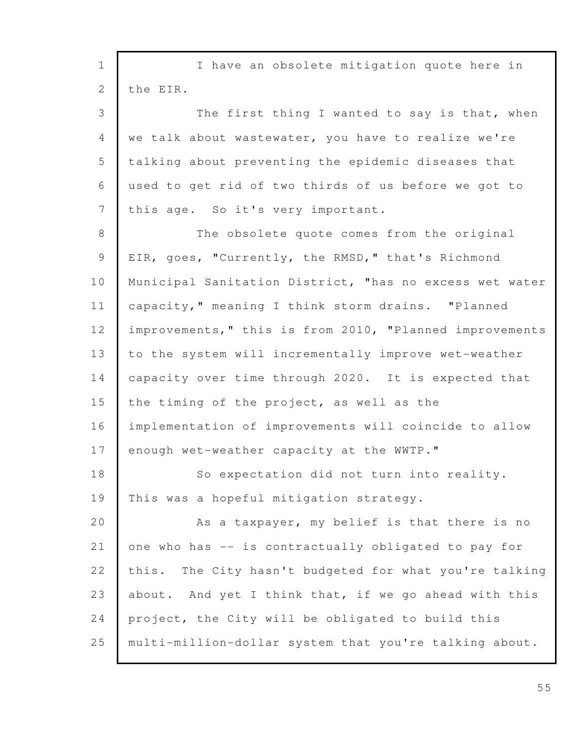| $\mathbf 1$     | I have an obsolete mitigation quote here in               |
|-----------------|-----------------------------------------------------------|
| 2               | the EIR.                                                  |
| 3               | The first thing I wanted to say is that, when             |
| $\overline{4}$  | we talk about wastewater, you have to realize we're       |
| 5               | talking about preventing the epidemic diseases that       |
| 6               | used to get rid of two thirds of us before we got to      |
| $7\phantom{.0}$ | this age. So it's very important.                         |
| 8               | The obsolete quote comes from the original                |
| $\mathcal{G}$   | EIR, goes, "Currently, the RMSD," that's Richmond         |
| 10              | Municipal Sanitation District, "has no excess wet water   |
| 11              | capacity," meaning I think storm drains. "Planned         |
| 12              | improvements," this is from 2010, "Planned improvements   |
| 13              | to the system will incrementally improve wet-weather      |
| 14              | capacity over time through 2020. It is expected that      |
| 15              | the timing of the project, as well as the                 |
| 16              | implementation of improvements will coincide to allow     |
| 17              | enough wet-weather capacity at the WWTP."                 |
| 18              | So expectation did not turn into reality.                 |
| 19              | This was a hopeful mitigation strategy.                   |
| 20              | As a taxpayer, my belief is that there is no              |
| 21              | one who has -- is contractually obligated to pay for      |
| 22              | The City hasn't budgeted for what you're talking<br>this. |
| 23              | about. And yet I think that, if we go ahead with this     |
| 24              | project, the City will be obligated to build this         |
| 25              | multi-million-dollar system that you're talking about.    |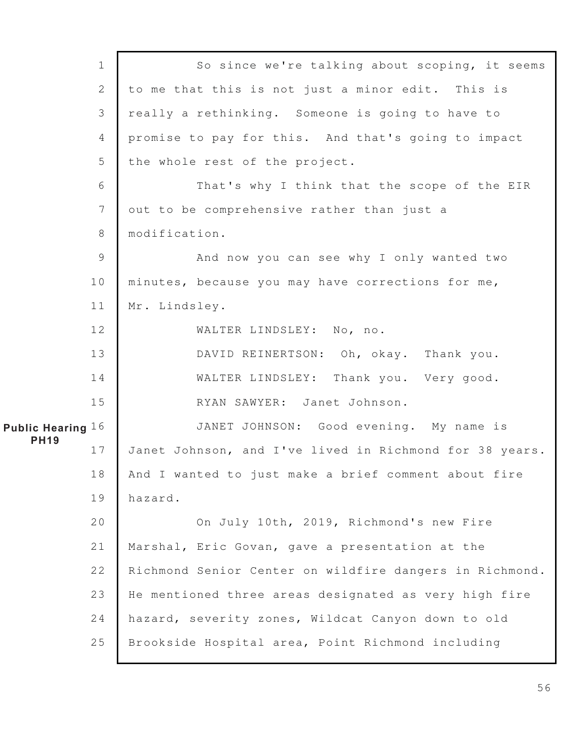1 So since we're talking about scoping, it seems 2 to me that this is not just a minor edit. This is 3 really a rethinking. Someone is going to have to 4 promise to pay for this. And that's going to impact 5 the whole rest of the project. 6 That's why I think that the scope of the EIR 7 out to be comprehensive rather than just a 8 modification. 9 And now you can see why I only wanted two 10 | minutes, because you may have corrections for me, 11 | Mr. Lindsley. 12 WALTER LINDSLEY: No, no. 13 DAVID REINERTSON: Oh, okay. Thank you. 14 WALTER LINDSLEY: Thank you. Very good. 15 RYAN SAWYER: Janet Johnson. JANET JOHNSON: Good evening. My name is 17 Janet Johnson, and I've lived in Richmond for 38 years. 18 And I wanted to just make a brief comment about fire 19 hazard. 20 On July 10th, 2019, Richmond's new Fire 21 Marshal, Eric Govan, gave a presentation at the 22 Richmond Senior Center on wildfire dangers in Richmond. 23 He mentioned three areas designated as very high fire 24 hazard, severity zones, Wildcat Canyon down to old 25 Brookside Hospital area, Point Richmond including **Public Hearing**  $16$ **PH19**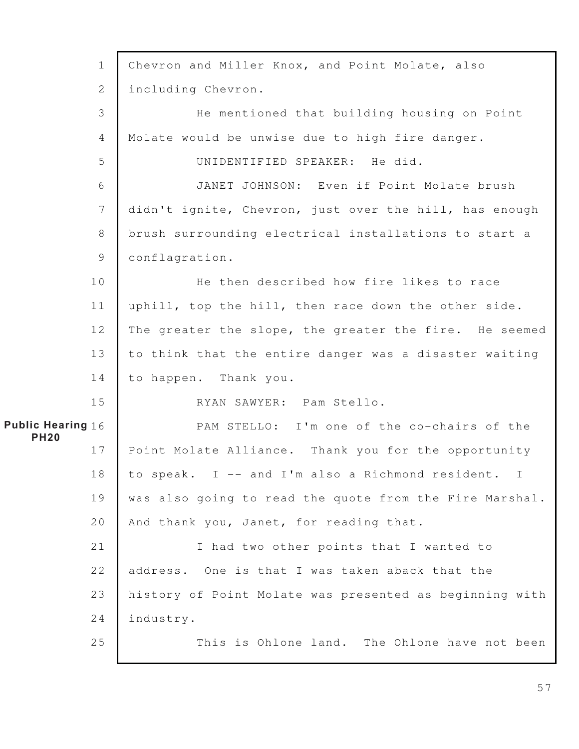|                                         | $\mathbf 1$ | Chevron and Miller Knox, and Point Molate, also         |
|-----------------------------------------|-------------|---------------------------------------------------------|
|                                         | 2           | including Chevron.                                      |
|                                         | 3           | He mentioned that building housing on Point             |
|                                         | 4           | Molate would be unwise due to high fire danger.         |
|                                         | 5           | UNIDENTIFIED SPEAKER: He did.                           |
|                                         | 6           | JANET JOHNSON: Even if Point Molate brush               |
|                                         | 7           | didn't ignite, Chevron, just over the hill, has enough  |
|                                         | 8           | brush surrounding electrical installations to start a   |
|                                         | 9           | conflagration.                                          |
|                                         | 10          | He then described how fire likes to race                |
|                                         | 11          | uphill, top the hill, then race down the other side.    |
|                                         | 12          | The greater the slope, the greater the fire. He seemed  |
|                                         | 13          | to think that the entire danger was a disaster waiting  |
|                                         | 14          | to happen. Thank you.                                   |
|                                         | 15          | RYAN SAWYER: Pam Stello.                                |
| <b>Public Hearing 16</b><br><b>PH20</b> |             | PAM STELLO: I'm one of the co-chairs of the             |
|                                         | 17          | Point Molate Alliance. Thank you for the opportunity    |
|                                         | 18          | to speak. I -- and I'm also a Richmond resident.        |
|                                         | 19          | was also going to read the quote from the Fire Marshal. |
|                                         | 20          | And thank you, Janet, for reading that.                 |
|                                         | 21          | I had two other points that I wanted to                 |
|                                         | 22          | address. One is that I was taken aback that the         |
|                                         | 23          | history of Point Molate was presented as beginning with |
|                                         | 24          | industry.                                               |
|                                         | 25          | This is Ohlone land. The Ohlone have not been           |
|                                         |             |                                                         |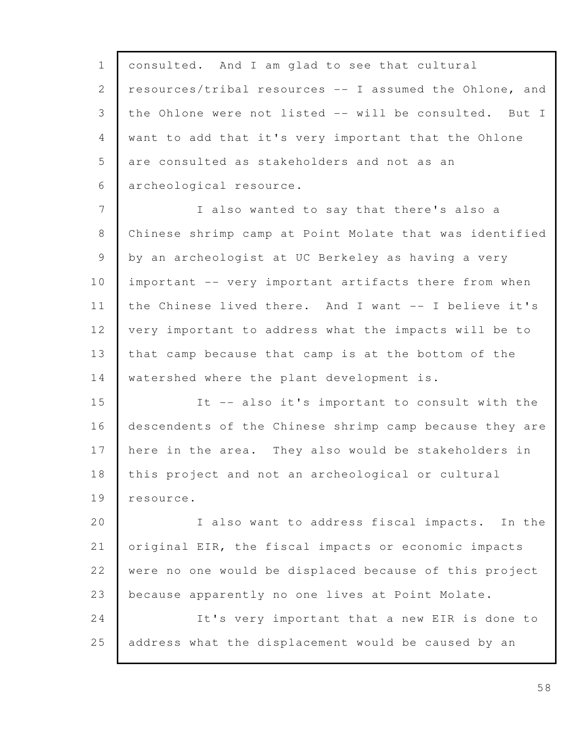1 consulted. And I am glad to see that cultural 2 | resources/tribal resources -- I assumed the Ohlone, and 3 the Ohlone were not listed -- will be consulted. But I 4 want to add that it's very important that the Ohlone 5 are consulted as stakeholders and not as an 6 archeological resource.

7 I also wanted to say that there's also a 8 Chinese shrimp camp at Point Molate that was identified 9 by an archeologist at UC Berkeley as having a very 10 important -- very important artifacts there from when 11 the Chinese lived there. And I want -- I believe it's 12 very important to address what the impacts will be to 13 that camp because that camp is at the bottom of the 14 | watershed where the plant development is.

15 It -- also it's important to consult with the 16 descendents of the Chinese shrimp camp because they are 17 here in the area. They also would be stakeholders in 18 this project and not an archeological or cultural 19 resource.

20 I also want to address fiscal impacts. In the 21 | original EIR, the fiscal impacts or economic impacts 22 were no one would be displaced because of this project 23 because apparently no one lives at Point Molate.

24 It's very important that a new EIR is done to 25 address what the displacement would be caused by an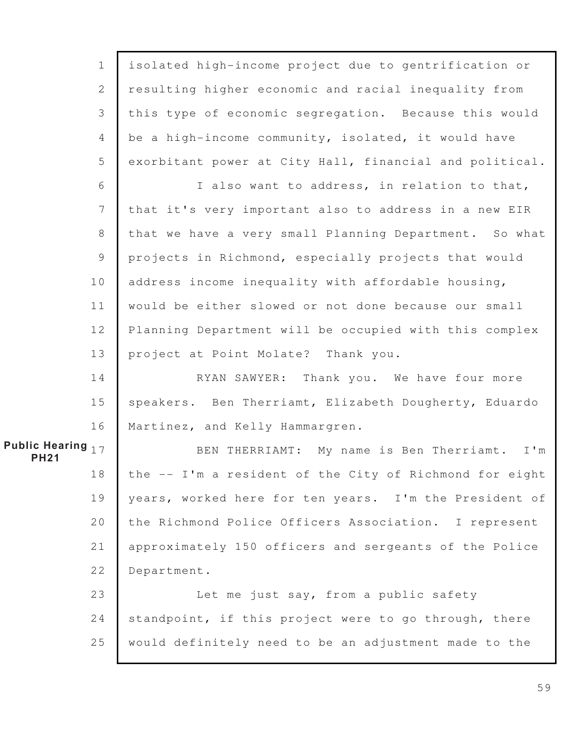|                                    | $\mathbf 1$    | isolated high-income project due to gentrification or   |
|------------------------------------|----------------|---------------------------------------------------------|
|                                    | $\overline{2}$ | resulting higher economic and racial inequality from    |
|                                    | 3              | this type of economic segregation. Because this would   |
|                                    | 4              | be a high-income community, isolated, it would have     |
|                                    | 5              | exorbitant power at City Hall, financial and political. |
|                                    | 6              | I also want to address, in relation to that,            |
|                                    | 7              | that it's very important also to address in a new EIR   |
|                                    | 8              | that we have a very small Planning Department. So what  |
|                                    | 9              | projects in Richmond, especially projects that would    |
|                                    | 10             | address income inequality with affordable housing,      |
|                                    | 11             | would be either slowed or not done because our small    |
|                                    | 12             | Planning Department will be occupied with this complex  |
|                                    | 13             | project at Point Molate? Thank you.                     |
|                                    | 14             | RYAN SAWYER: Thank you. We have four more               |
|                                    | 15             | speakers. Ben Therriamt, Elizabeth Dougherty, Eduardo   |
|                                    | 16             | Martinez, and Kelly Hammargren.                         |
| Public Hearing $17$<br><b>PH21</b> |                | BEN THERRIAMT:<br>My name is Ben Therriamt. I'm         |
|                                    | 18             | the -- I'm a resident of the City of Richmond for eight |
|                                    | 19             | years, worked here for ten years. I'm the President of  |
|                                    | 20             | the Richmond Police Officers Association. I represent   |
|                                    | 21             | approximately 150 officers and sergeants of the Police  |
|                                    | 22             | Department.                                             |
|                                    | 23             | Let me just say, from a public safety                   |
|                                    | 24             | standpoint, if this project were to go through, there   |
|                                    | 25             | would definitely need to be an adjustment made to the   |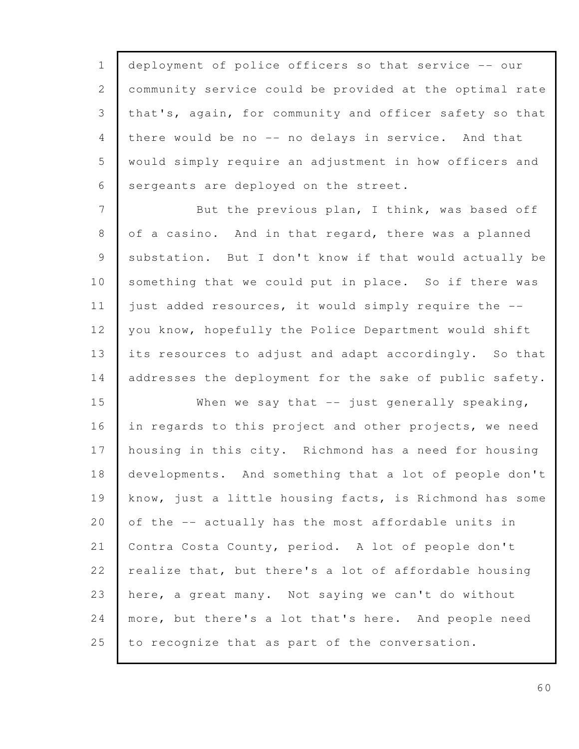1 deployment of police officers so that service -- our 2 community service could be provided at the optimal rate 3 that's, again, for community and officer safety so that 4 there would be no -- no delays in service. And that 5 would simply require an adjustment in how officers and 6 sergeants are deployed on the street.

7 But the previous plan, I think, was based off 8 of a casino. And in that regard, there was a planned 9 substation. But I don't know if that would actually be 10 something that we could put in place. So if there was 11 just added resources, it would simply require the -- 12 you know, hopefully the Police Department would shift 13 its resources to adjust and adapt accordingly. So that 14 addresses the deployment for the sake of public safety.

15 When we say that -- just generally speaking, 16 in regards to this project and other projects, we need 17 housing in this city. Richmond has a need for housing 18 developments. And something that a lot of people don't 19 know, just a little housing facts, is Richmond has some 20 of the -- actually has the most affordable units in 21 Contra Costa County, period. A lot of people don't 22 realize that, but there's a lot of affordable housing 23 here, a great many. Not saying we can't do without 24 | more, but there's a lot that's here. And people need 25 to recognize that as part of the conversation.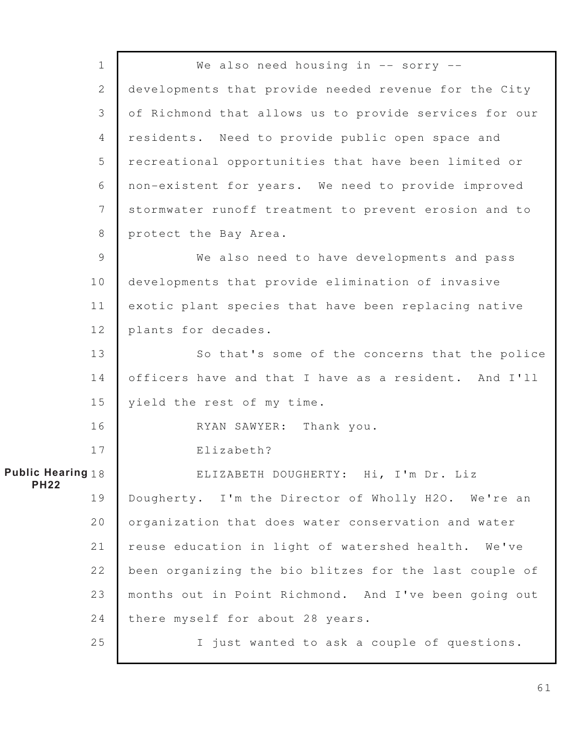1 We also need housing in -- sorry --2 developments that provide needed revenue for the City 3 of Richmond that allows us to provide services for our 4 residents. Need to provide public open space and 5 | recreational opportunities that have been limited or 6 non-existent for years. We need to provide improved 7 Stormwater runoff treatment to prevent erosion and to 8 protect the Bay Area. 9 We also need to have developments and pass 10 developments that provide elimination of invasive 11 exotic plant species that have been replacing native 12 plants for decades. 13 So that's some of the concerns that the police 14 officers have and that I have as a resident. And I'll 15 yield the rest of my time. 16 RYAN SAWYER: Thank you. 17 Elizabeth? ELIZABETH DOUGHERTY: Hi, I'm Dr. Liz 19 Dougherty. I'm the Director of Wholly H2O. We're an 20 organization that does water conservation and water 21 | reuse education in light of watershed health. We've 22 been organizing the bio blitzes for the last couple of 23 months out in Point Richmond. And I've been going out 24 there myself for about 28 years. 25 I just wanted to ask a couple of questions. **Public Hearing** 18 **PH22**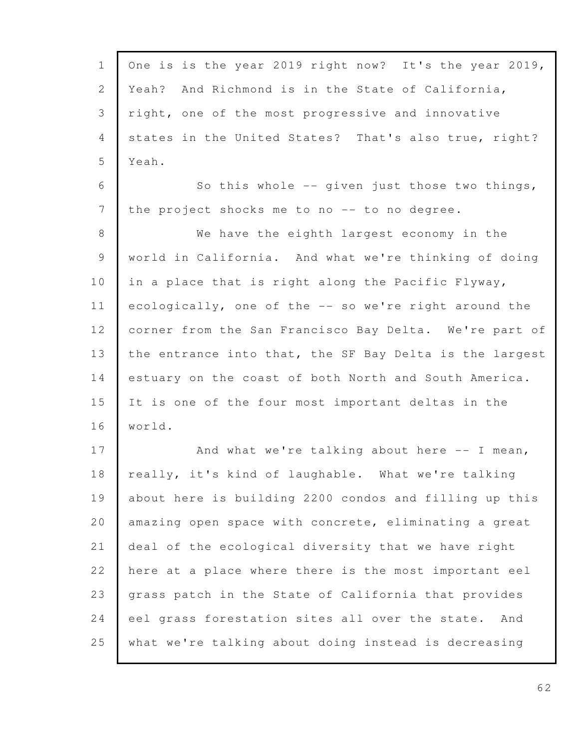| $\mathbf 1$    | One is is the year 2019 right now? It's the year 2019,  |
|----------------|---------------------------------------------------------|
| 2              | And Richmond is in the State of California,<br>Yeah?    |
| 3              | right, one of the most progressive and innovative       |
| $\overline{4}$ | states in the United States? That's also true, right?   |
| 5              | Yeah.                                                   |
| 6              | So this whole -- given just those two things,           |
| $7\phantom{.}$ | the project shocks me to no -- to no degree.            |
| 8              | We have the eighth largest economy in the               |
| $\mathcal{G}$  | world in California. And what we're thinking of doing   |
| 10             | in a place that is right along the Pacific Flyway,      |
| 11             | ecologically, one of the -- so we're right around the   |
| 12             | corner from the San Francisco Bay Delta. We're part of  |
| 13             | the entrance into that, the SF Bay Delta is the largest |
| 14             | estuary on the coast of both North and South America.   |
| 15             | It is one of the four most important deltas in the      |
| 16             | world.                                                  |
| 17             | And what we're talking about here -- I mean,            |
| 18             | really, it's kind of laughable. What we're talking      |
| 19             | about here is building 2200 condos and filling up this  |
| 20             | amazing open space with concrete, eliminating a great   |
| 21             | deal of the ecological diversity that we have right     |
| 22             | here at a place where there is the most important eel   |
| 23             | grass patch in the State of California that provides    |
| 24             | eel grass forestation sites all over the state. And     |
| 25             | what we're talking about doing instead is decreasing    |
|                |                                                         |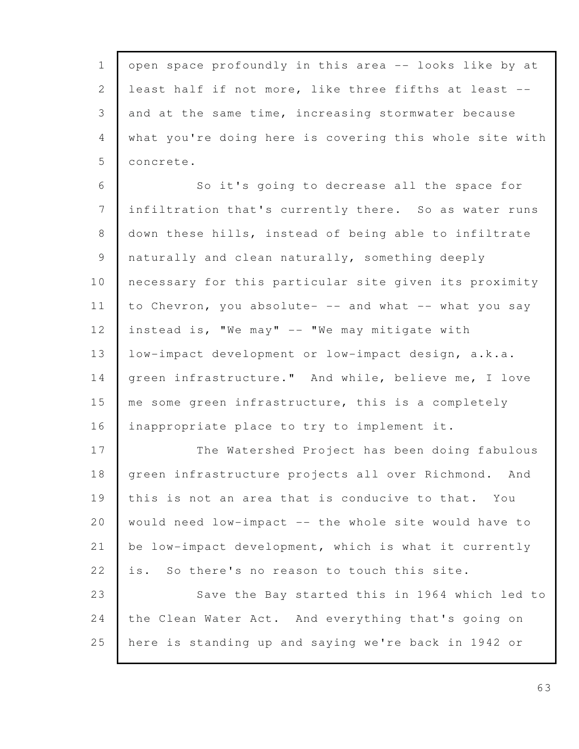| $\mathbf 1$     | open space profoundly in this area -- looks like by at  |
|-----------------|---------------------------------------------------------|
| $\mathbf{2}$    | least half if not more, like three fifths at least --   |
| 3               | and at the same time, increasing stormwater because     |
| 4               | what you're doing here is covering this whole site with |
| 5               | concrete.                                               |
| 6               | So it's going to decrease all the space for             |
| $7\phantom{.0}$ | infiltration that's currently there. So as water runs   |
| 8               | down these hills, instead of being able to infiltrate   |
| 9               | naturally and clean naturally, something deeply         |
| 10              | necessary for this particular site given its proximity  |
| 11              | to Chevron, you absolute- -- and what -- what you say   |
| 12              | instead is, "We may" -- "We may mitigate with           |
| 13              | low-impact development or low-impact design, a.k.a.     |
| 14              | green infrastructure." And while, believe me, I love    |
| 15              | me some green infrastructure, this is a completely      |
| 16              | inappropriate place to try to implement it.             |
| 17              | The Watershed Project has been doing fabulous           |
| 18              | green infrastructure projects all over Richmond. And    |
| 19              | this is not an area that is conducive to that. You      |
| 20              | would need low-impact -- the whole site would have to   |
| 21              | be low-impact development, which is what it currently   |
| 22              | is. So there's no reason to touch this site.            |
| 23              | Save the Bay started this in 1964 which led to          |
| 24              | the Clean Water Act. And everything that's going on     |
| 25              | here is standing up and saying we're back in 1942 or    |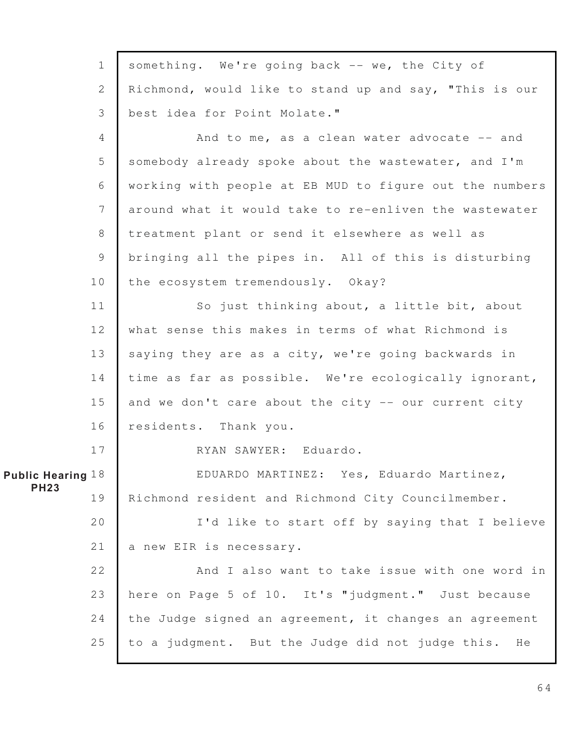|                     | $\mathbf 1$     | something. We're going back -- we, the City of          |
|---------------------|-----------------|---------------------------------------------------------|
|                     | $\mathbf{2}$    | Richmond, would like to stand up and say, "This is our  |
|                     | 3               | best idea for Point Molate."                            |
|                     | 4               | And to me, as a clean water advocate -- and             |
|                     | 5               | somebody already spoke about the wastewater, and I'm    |
|                     | 6               | working with people at EB MUD to figure out the numbers |
|                     | $7\phantom{.0}$ | around what it would take to re-enliven the wastewater  |
|                     | 8               | treatment plant or send it elsewhere as well as         |
|                     | 9               | bringing all the pipes in. All of this is disturbing    |
|                     | 10              | the ecosystem tremendously. Okay?                       |
|                     | 11              | So just thinking about, a little bit, about             |
|                     | 12              | what sense this makes in terms of what Richmond is      |
|                     | 13              | saying they are as a city, we're going backwards in     |
|                     | 14              | time as far as possible. We're ecologically ignorant,   |
|                     | 15              | and we don't care about the city -- our current city    |
|                     | 16              | residents. Thank you.                                   |
|                     | 17              | RYAN SAWYER: Eduardo.                                   |
| Public Hearing $18$ |                 | EDUARDO MARTINEZ: Yes, Eduardo Martinez,                |
| <b>PH23</b>         | 19              | Richmond resident and Richmond City Councilmember.      |
|                     | 20              | I'd like to start off by saying that I believe          |
|                     | 21              | a new EIR is necessary.                                 |
|                     | 22              | And I also want to take issue with one word in          |
|                     | 23              | here on Page 5 of 10. It's "judgment." Just because     |
|                     | 24              | the Judge signed an agreement, it changes an agreement  |
|                     | 25              | to a judgment. But the Judge did not judge this.<br>He  |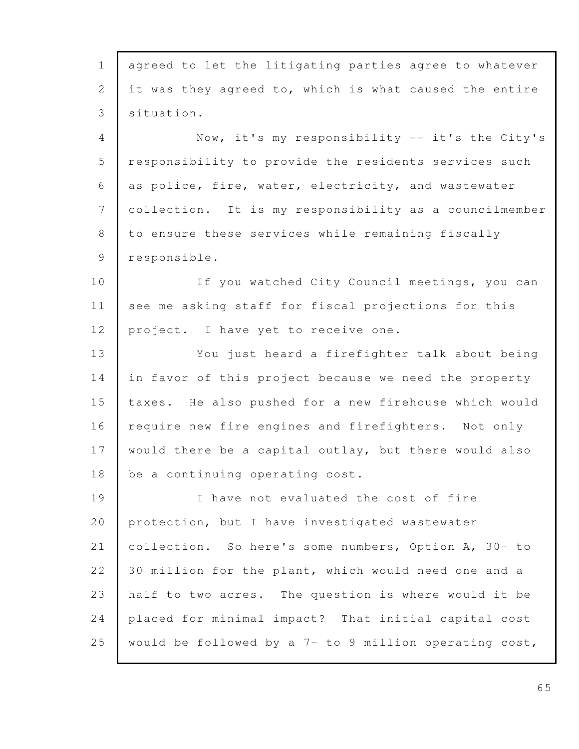| $\mathbf 1$     | agreed to let the litigating parties agree to whatever |
|-----------------|--------------------------------------------------------|
| $\mathbf{2}$    | it was they agreed to, which is what caused the entire |
| 3               | situation.                                             |
| $\overline{4}$  | Now, it's my responsibility -- it's the City's         |
| 5               | responsibility to provide the residents services such  |
| 6               | as police, fire, water, electricity, and wastewater    |
| $7\phantom{.0}$ | collection. It is my responsibility as a councilmember |
| 8               | to ensure these services while remaining fiscally      |
| $\overline{9}$  | responsible.                                           |
| 10              | If you watched City Council meetings, you can          |
| 11              | see me asking staff for fiscal projections for this    |
| 12              | project. I have yet to receive one.                    |
| 13              | You just heard a firefighter talk about being          |
| 14              | in favor of this project because we need the property  |
| 15              | taxes. He also pushed for a new firehouse which would  |
| 16              | require new fire engines and firefighters. Not only    |
| 17              | would there be a capital outlay, but there would also  |
| 18              | be a continuing operating cost.                        |
| 19              | I have not evaluated the cost of fire                  |
| 20              | protection, but I have investigated wastewater         |
| 21              | collection. So here's some numbers, Option A, 30- to   |
| 22              | 30 million for the plant, which would need one and a   |
| 23              | half to two acres. The question is where would it be   |
| 24              | placed for minimal impact? That initial capital cost   |
| 25              | would be followed by a 7- to 9 million operating cost, |
|                 |                                                        |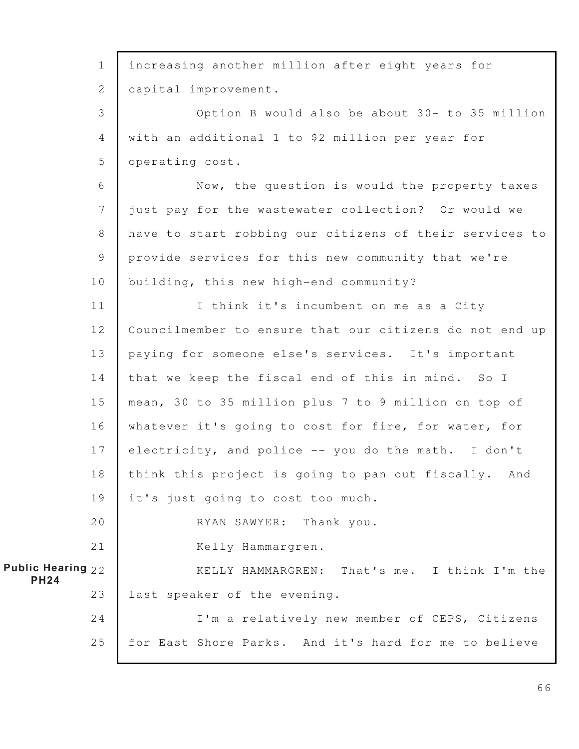| $\mathbf{1}$                            | increasing another million after eight years for        |
|-----------------------------------------|---------------------------------------------------------|
| $\mathbf{2}$                            | capital improvement.                                    |
| 3                                       | Option B would also be about 30- to 35 million          |
| 4                                       | with an additional 1 to \$2 million per year for        |
| 5                                       | operating cost.                                         |
| 6                                       | Now, the question is would the property taxes           |
| $7\phantom{.0}$                         | just pay for the wastewater collection? Or would we     |
| 8                                       | have to start robbing our citizens of their services to |
| 9                                       | provide services for this new community that we're      |
| 10                                      | building, this new high-end community?                  |
| 11                                      | I think it's incumbent on me as a City                  |
| 12                                      | Councilmember to ensure that our citizens do not end up |
| 13                                      | paying for someone else's services. It's important      |
| 14                                      | that we keep the fiscal end of this in mind. So I       |
| 15                                      | mean, 30 to 35 million plus 7 to 9 million on top of    |
| 16                                      | whatever it's going to cost for fire, for water, for    |
| 17                                      | electricity, and police -- you do the math. I don't     |
| 18                                      | think this project is going to pan out fiscally. And    |
| 19                                      | it's just going to cost too much.                       |
| 20                                      | RYAN SAWYER:<br>Thank you.                              |
| 21                                      | Kelly Hammargren.                                       |
| <b>Public Hearing 22</b><br><b>PH24</b> | KELLY HAMMARGREN: That's me. I think I'm the            |
| 23                                      | last speaker of the evening.                            |
| 24                                      | I'm a relatively new member of CEPS, Citizens           |
| 25                                      | for East Shore Parks. And it's hard for me to believe   |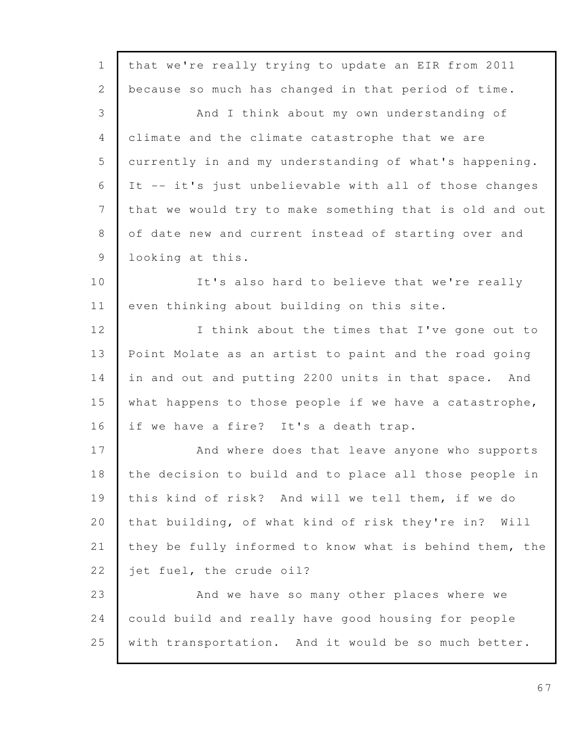| $\mathbf 1$    | that we're really trying to update an EIR from 2011     |
|----------------|---------------------------------------------------------|
| 2              | because so much has changed in that period of time.     |
| 3              | And I think about my own understanding of               |
| 4              | climate and the climate catastrophe that we are         |
| 5              | currently in and my understanding of what's happening.  |
| 6              | It -- it's just unbelievable with all of those changes  |
| $7\phantom{.}$ | that we would try to make something that is old and out |
| 8              | of date new and current instead of starting over and    |
| 9              | looking at this.                                        |
| 10             | It's also hard to believe that we're really             |
| 11             | even thinking about building on this site.              |
| 12             | I think about the times that I've gone out to           |
| 13             | Point Molate as an artist to paint and the road going   |
| 14             | in and out and putting 2200 units in that space. And    |
| 15             | what happens to those people if we have a catastrophe,  |
| 16             | if we have a fire? It's a death trap.                   |
| 17             | And where does that leave anyone who supports           |
| 18             | the decision to build and to place all those people in  |
| 19             | this kind of risk? And will we tell them, if we do      |
| 20             | that building, of what kind of risk they're in?<br>Will |
| 21             | they be fully informed to know what is behind them, the |
| 22             | jet fuel, the crude oil?                                |
| 23             | And we have so many other places where we               |
| 24             | could build and really have good housing for people     |
| 25             | with transportation. And it would be so much better.    |
|                |                                                         |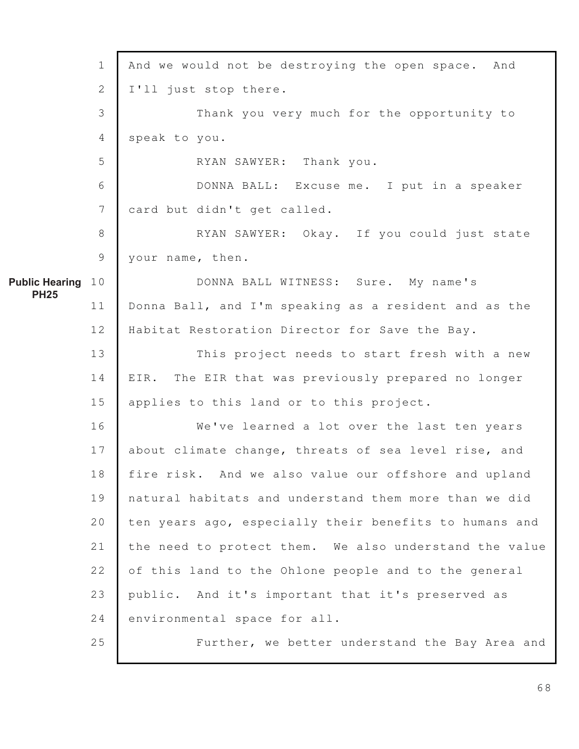|                                      | $\mathbf 1$ | And we would not be destroying the open space. And     |
|--------------------------------------|-------------|--------------------------------------------------------|
|                                      | 2           | I'll just stop there.                                  |
|                                      | 3           | Thank you very much for the opportunity to             |
|                                      | 4           | speak to you.                                          |
|                                      | 5           | RYAN SAWYER:<br>Thank you.                             |
|                                      | 6           | DONNA BALL: Excuse me. I put in a speaker              |
|                                      | 7           | card but didn't get called.                            |
|                                      | 8           | RYAN SAWYER: Okay. If you could just state             |
|                                      | 9           | your name, then.                                       |
| <b>Public Hearing</b><br><b>PH25</b> | 10          | DONNA BALL WITNESS: Sure. My name's                    |
|                                      | 11          | Donna Ball, and I'm speaking as a resident and as the  |
|                                      | 12          | Habitat Restoration Director for Save the Bay.         |
|                                      | 13          | This project needs to start fresh with a new           |
|                                      | 14          | The EIR that was previously prepared no longer<br>EIR. |
|                                      | 15          | applies to this land or to this project.               |
|                                      | 16          | We've learned a lot over the last ten years            |
|                                      | 17          | about climate change, threats of sea level rise, and   |
|                                      | 18          | fire risk. And we also value our offshore and upland   |
|                                      | 19          | natural habitats and understand them more than we did  |
|                                      | 20          | ten years ago, especially their benefits to humans and |
|                                      | 21          | the need to protect them. We also understand the value |
|                                      | 22          | of this land to the Ohlone people and to the general   |
|                                      | 23          | public. And it's important that it's preserved as      |
|                                      | 24          | environmental space for all.                           |
|                                      | 25          | Further, we better understand the Bay Area and         |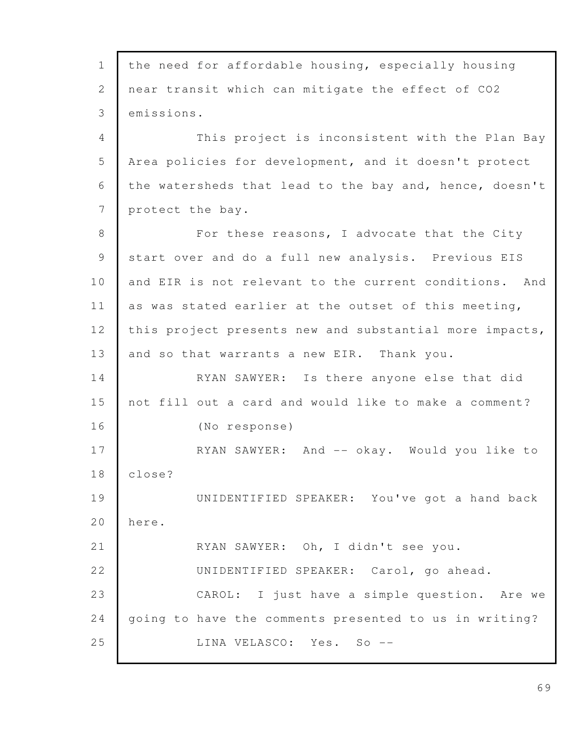| $\mathbf 1$     | the need for affordable housing, especially housing     |
|-----------------|---------------------------------------------------------|
| $\mathbf{2}$    | near transit which can mitigate the effect of CO2       |
| 3               | emissions.                                              |
| 4               | This project is inconsistent with the Plan Bay          |
| 5               | Area policies for development, and it doesn't protect   |
| 6               | the watersheds that lead to the bay and, hence, doesn't |
| $7\phantom{.0}$ | protect the bay.                                        |
| 8               | For these reasons, I advocate that the City             |
| $\mathsf 9$     | start over and do a full new analysis. Previous EIS     |
| 10              | and EIR is not relevant to the current conditions. And  |
| 11              | as was stated earlier at the outset of this meeting,    |
| 12              | this project presents new and substantial more impacts, |
| 13              | and so that warrants a new EIR. Thank you.              |
| 14              | RYAN SAWYER: Is there anyone else that did              |
| 15              | not fill out a card and would like to make a comment?   |
| 16              | (No response)                                           |
| 17              | RYAN SAWYER: And -- okay. Would you like to             |
| 18              | close?                                                  |
| 19              | UNIDENTIFIED SPEAKER: You've got a hand back            |
| 20              | here.                                                   |
| 21              | RYAN SAWYER: Oh, I didn't see you.                      |
| 22              | UNIDENTIFIED SPEAKER: Carol, go ahead.                  |
| 23              | CAROL: I just have a simple question. Are we            |
| 24              | going to have the comments presented to us in writing?  |
| 25              | LINA VELASCO: Yes. So --                                |
|                 |                                                         |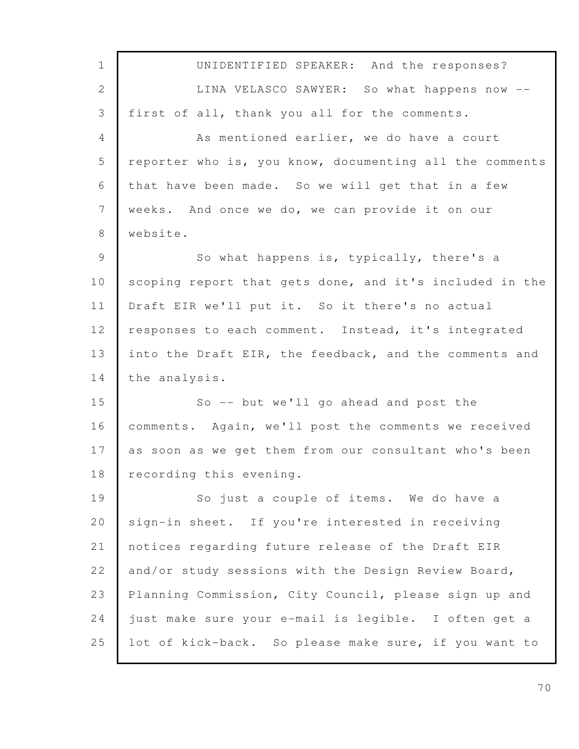1 UNIDENTIFIED SPEAKER: And the responses? 2 LINA VELASCO SAWYER: So what happens now --3 | first of all, thank you all for the comments. 4 As mentioned earlier, we do have a court 5 reporter who is, you know, documenting all the comments 6 that have been made. So we will get that in a few 7 weeks. And once we do, we can provide it on our 8 website. 9 So what happens is, typically, there's a 10 scoping report that gets done, and it's included in the 11 Draft EIR we'll put it. So it there's no actual 12 responses to each comment. Instead, it's integrated 13 into the Draft EIR, the feedback, and the comments and 14 the analysis. 15 So -- but we'll go ahead and post the 16 comments. Again, we'll post the comments we received 17 as soon as we get them from our consultant who's been 18 recording this evening. 19 So just a couple of items. We do have a 20 sign-in sheet. If you're interested in receiving 21 notices regarding future release of the Draft EIR 22 and/or study sessions with the Design Review Board, 23 Planning Commission, City Council, please sign up and 24 just make sure your e-mail is legible. I often get a 25 lot of kick-back. So please make sure, if you want to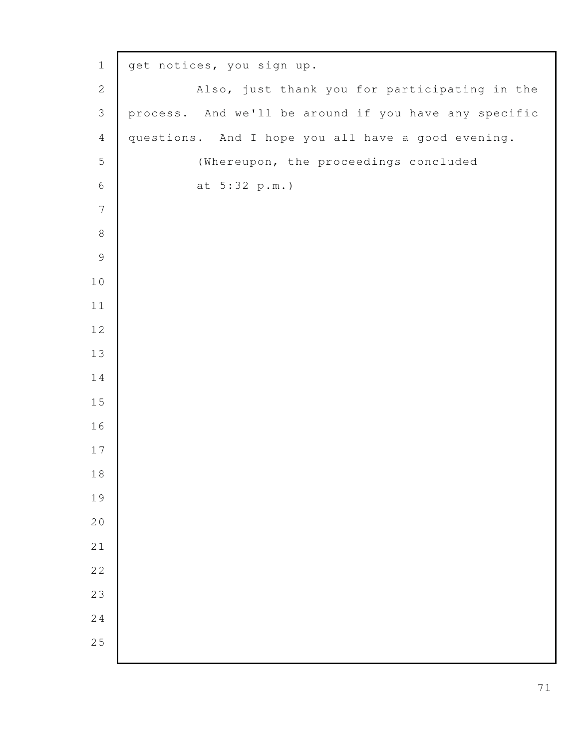1 get notices, you sign up. 2 Also, just thank you for participating in the 3 process. And we'll be around if you have any specific 4 questions. And I hope you all have a good evening. 5 (Whereupon, the proceedings concluded 6 at 5:32 p.m.)